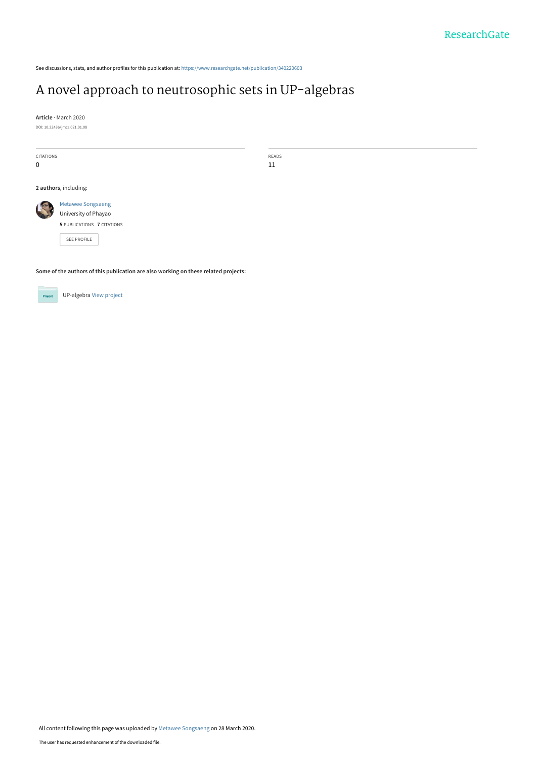See discussions, stats, and author profiles for this publication at: [https://www.researchgate.net/publication/340220603](https://www.researchgate.net/publication/340220603_A_novel_approach_to_neutrosophic_sets_in_UP-algebras?enrichId=rgreq-a79dccb5911217eaa5de09a455b07587-XXX&enrichSource=Y292ZXJQYWdlOzM0MDIyMDYwMztBUzo4NzM4OTY0MDAxMzgyNDBAMTU4NTM2NDU0NjA0NQ%3D%3D&el=1_x_2&_esc=publicationCoverPdf)

# [A novel approach to neutrosophic sets in UP-algebras](https://www.researchgate.net/publication/340220603_A_novel_approach_to_neutrosophic_sets_in_UP-algebras?enrichId=rgreq-a79dccb5911217eaa5de09a455b07587-XXX&enrichSource=Y292ZXJQYWdlOzM0MDIyMDYwMztBUzo4NzM4OTY0MDAxMzgyNDBAMTU4NTM2NDU0NjA0NQ%3D%3D&el=1_x_3&_esc=publicationCoverPdf)

**Article** · March 2020

DOI: 10.22436/jmcs.021.01.08

| CITATIONS   |                            | READS |
|-------------|----------------------------|-------|
| $\mathbf 0$ |                            | 11    |
|             |                            |       |
|             | 2 authors, including:      |       |
|             | Metawee Songsaeng          |       |
|             | University of Phayao       |       |
|             | 5 PUBLICATIONS 7 CITATIONS |       |
|             | SEE PROFILE                |       |

**Some of the authors of this publication are also working on these related projects:**



UP-algebra [View project](https://www.researchgate.net/project/UP-algebra?enrichId=rgreq-a79dccb5911217eaa5de09a455b07587-XXX&enrichSource=Y292ZXJQYWdlOzM0MDIyMDYwMztBUzo4NzM4OTY0MDAxMzgyNDBAMTU4NTM2NDU0NjA0NQ%3D%3D&el=1_x_9&_esc=publicationCoverPdf)

All content following this page was uploaded by [Metawee Songsaeng](https://www.researchgate.net/profile/Metawee_Songsaeng2?enrichId=rgreq-a79dccb5911217eaa5de09a455b07587-XXX&enrichSource=Y292ZXJQYWdlOzM0MDIyMDYwMztBUzo4NzM4OTY0MDAxMzgyNDBAMTU4NTM2NDU0NjA0NQ%3D%3D&el=1_x_10&_esc=publicationCoverPdf) on 28 March 2020.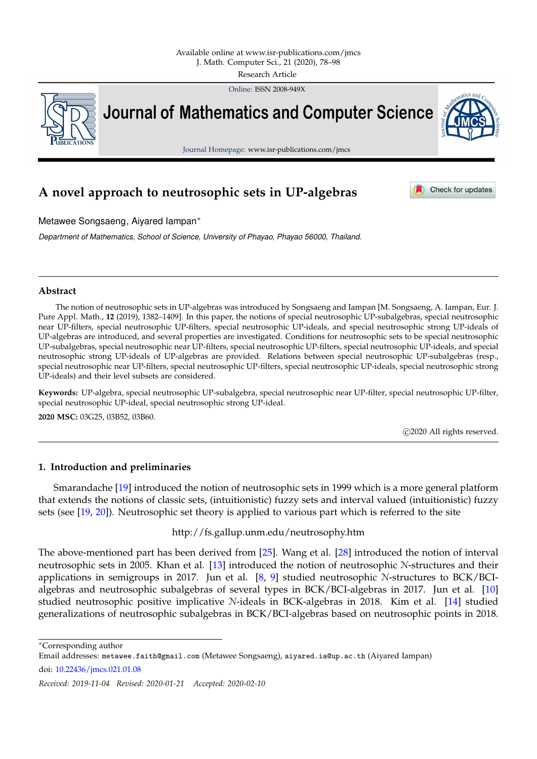Online: ISSN 2008-949X



**Journal of Mathematics and Computer Science** 



Journal Homepage: www.isr-publications.com/jmcs

# **A novel approach to neutrosophic sets in UP-algebras**

Check for updates

Metawee Songsaeng, Aiyared Iampan<sup>∗</sup>

*Department of Mathematics, School of Science, University of Phayao, Phayao 56000, Thailand.*

# **Abstract**

The notion of neutrosophic sets in UP-algebras was introduced by Songsaeng and Iampan [M. Songsaeng, A. Iampan, Eur. J. Pure Appl. Math., **12** (2019), 1382–1409]. In this paper, the notions of special neutrosophic UP-subalgebras, special neutrosophic near UP-filters, special neutrosophic UP-filters, special neutrosophic UP-ideals, and special neutrosophic strong UP-ideals of UP-algebras are introduced, and several properties are investigated. Conditions for neutrosophic sets to be special neutrosophic UP-subalgebras, special neutrosophic near UP-filters, special neutrosophic UP-filters, special neutrosophic UP-ideals, and special neutrosophic strong UP-ideals of UP-algebras are provided. Relations between special neutrosophic UP-subalgebras (resp., special neutrosophic near UP-filters, special neutrosophic UP-filters, special neutrosophic UP-ideals, special neutrosophic strong UP-ideals) and their level subsets are considered.

**Keywords:** UP-algebra, special neutrosophic UP-subalgebra, special neutrosophic near UP-filter, special neutrosophic UP-filter, special neutrosophic UP-ideal, special neutrosophic strong UP-ideal.

**2020 MSC:** 03G25, 03B52, 03B60.

c 2020 All rights reserved.

# <span id="page-1-0"></span>**1. Introduction and preliminaries**

Smarandache [\[19\]](#page-21-0) introduced the notion of neutrosophic sets in 1999 which is a more general platform that extends the notions of classic sets, (intuitionistic) fuzzy sets and interval valued (intuitionistic) fuzzy sets (see [\[19,](#page-21-0) [20\]](#page-21-1)). Neutrosophic set theory is applied to various part which is referred to the site

http://fs.gallup.unm.edu/neutrosophy.htm

The above-mentioned part has been derived from [\[25\]](#page-21-2). Wang et al. [\[28\]](#page-21-3) introduced the notion of interval neutrosophic sets in 2005. Khan et al. [\[13\]](#page-21-4) introduced the notion of neutrosophic N-structures and their applications in semigroups in 2017. Jun et al. [\[8,](#page-21-5) [9\]](#page-21-6) studied neutrosophic N-structures to BCK/BCIalgebras and neutrosophic subalgebras of several types in BCK/BCI-algebras in 2017. Jun et al. [\[10\]](#page-21-7) studied neutrosophic positive implicative N-ideals in BCK-algebras in 2018. Kim et al. [\[14\]](#page-21-8) studied generalizations of neutrosophic subalgebras in BCK/BCI-algebras based on neutrosophic points in 2018.

<sup>∗</sup>Corresponding author

Email addresses: metawee.faith@gmail.com (Metawee Songsaeng), aiyared.ia@up.ac.th (Aiyared Iampan)

doi: [10.22436/jmcs.021.01.08](http://dx.doi.org/10.22436/jmcs.021.01.08)

*Received: 2019-11-04 Revised: 2020-01-21 Accepted: 2020-02-10*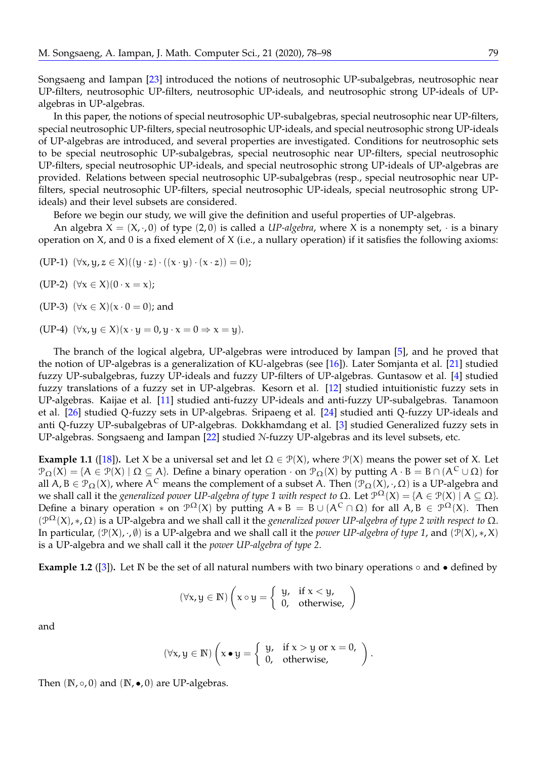Songsaeng and Iampan [\[23\]](#page-21-9) introduced the notions of neutrosophic UP-subalgebras, neutrosophic near UP-filters, neutrosophic UP-filters, neutrosophic UP-ideals, and neutrosophic strong UP-ideals of UPalgebras in UP-algebras.

In this paper, the notions of special neutrosophic UP-subalgebras, special neutrosophic near UP-filters, special neutrosophic UP-filters, special neutrosophic UP-ideals, and special neutrosophic strong UP-ideals of UP-algebras are introduced, and several properties are investigated. Conditions for neutrosophic sets to be special neutrosophic UP-subalgebras, special neutrosophic near UP-filters, special neutrosophic UP-filters, special neutrosophic UP-ideals, and special neutrosophic strong UP-ideals of UP-algebras are provided. Relations between special neutrosophic UP-subalgebras (resp., special neutrosophic near UPfilters, special neutrosophic UP-filters, special neutrosophic UP-ideals, special neutrosophic strong UPideals) and their level subsets are considered.

Before we begin our study, we will give the definition and useful properties of UP-algebras.

An algebra  $X = (X, \cdot, 0)$  of type  $(2, 0)$  is called a *UP-algebra*, where X is a nonempty set,  $\cdot$  is a binary operation on X, and 0 is a fixed element of X (i.e., a nullary operation) if it satisfies the following axioms:

(UP-1)  $(\forall x, y, z \in X)((y \cdot z) \cdot ((x \cdot y) \cdot (x \cdot z)) = 0);$ 

(UP-2)  $(\forall x \in X)(0 \cdot x = x);$ 

(UP-3)  $(\forall x \in X)(x \cdot 0 = 0)$ ; and

(UP-4)  $(\forall x, y \in X)(x \cdot y = 0, y \cdot x = 0 \Rightarrow x = y)$ .

The branch of the logical algebra, UP-algebras were introduced by Iampan [\[5\]](#page-20-0), and he proved that the notion of UP-algebras is a generalization of KU-algebras (see [\[16\]](#page-21-10)). Later Somjanta et al. [\[21\]](#page-21-11) studied fuzzy UP-subalgebras, fuzzy UP-ideals and fuzzy UP-filters of UP-algebras. Guntasow et al. [\[4\]](#page-20-1) studied fuzzy translations of a fuzzy set in UP-algebras. Kesorn et al. [\[12\]](#page-21-12) studied intuitionistic fuzzy sets in UP-algebras. Kaijae et al. [\[11\]](#page-21-13) studied anti-fuzzy UP-ideals and anti-fuzzy UP-subalgebras. Tanamoon et al. [\[26\]](#page-21-14) studied Q-fuzzy sets in UP-algebras. Sripaeng et al. [\[24\]](#page-21-15) studied anti Q-fuzzy UP-ideals and anti Q-fuzzy UP-subalgebras of UP-algebras. Dokkhamdang et al. [\[3\]](#page-20-2) studied Generalized fuzzy sets in UP-algebras. Songsaeng and Iampan [\[22\]](#page-21-16) studied N-fuzzy UP-algebras and its level subsets, etc.

<span id="page-2-1"></span>**Example 1.1** ([\[18\]](#page-21-17)). Let X be a universal set and let  $\Omega \in \mathcal{P}(X)$ , where  $\mathcal{P}(X)$  means the power set of X. Let  $\mathcal{P}_{\Omega}(X) = \{A \in \mathcal{P}(X) \mid \Omega \subseteq A\}$ . Define a binary operation  $\cdot$  on  $\mathcal{P}_{\Omega}(X)$  by putting  $A \cdot B = B \cap (A^C \cup \Omega)$  for all  $A, B \in \mathcal{P}_{\Omega}(X)$ , where A<sup>C</sup> means the complement of a subset A. Then  $(\mathcal{P}_{\Omega}(X), \cdot, \Omega)$  is a UP-algebra and we shall call it the *generalized power UP-algebra of type 1 with respect to*  $\Omega$ . Let  $\mathcal{P}^{\Omega}(X) = \{A \in \mathcal{P}(X) \mid A \subseteq \Omega\}$ . Define a binary operation  $*$  on  $\mathcal{P}^{\Omega}(X)$  by putting  $A * B = B \cup (A^{C} \cap \Omega)$  for all  $A, B \in \mathcal{P}^{\Omega}(X)$ . Then  $(\mathcal{P}^{\Omega}(X), \ast, \Omega)$  is a UP-algebra and we shall call it the *generalized power UP-algebra of type 2 with respect to*  $\Omega$ . In particular, (P(X), ·, ∅) is a UP-algebra and we shall call it the *power UP-algebra of type 1*, and (P(X), ∗, X) is a UP-algebra and we shall call it the *power UP-algebra of type 2*.

<span id="page-2-0"></span>**Example 1.2** ([\[3\]](#page-20-2)). Let N be the set of all natural numbers with two binary operations  $\circ$  and  $\bullet$  defined by

$$
(\forall x,y\in\mathbb{N})\left(x\circ y=\left\{\begin{array}{ll}y, & \text{if } x
$$

and

$$
(\forall x, y \in \mathbb{N})\left(x \bullet y = \left\{\begin{array}{ll}y, & \text{if } x > y \text{ or } x = 0, \\0, & \text{otherwise,}\end{array}\right.\right).
$$

Then  $(N, \circ, 0)$  and  $(N, \bullet, 0)$  are UP-algebras.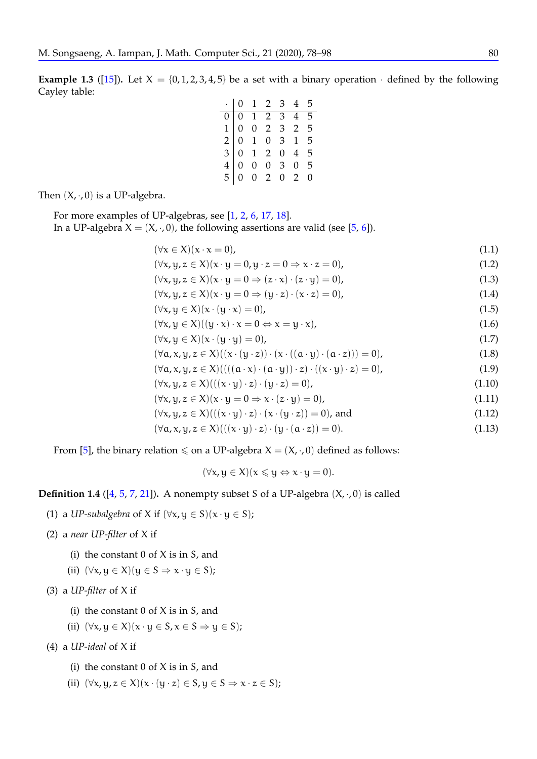<span id="page-3-1"></span>**Example 1.3** ([\[15\]](#page-21-18)). Let  $X = \{0, 1, 2, 3, 4, 5\}$  be a set with a binary operation  $\cdot$  defined by the following Cayley table:

<span id="page-3-0"></span>

|  | $\begin{array}{c cccc} \cdot&0&1&2&3&4&5\\ \hline 0&0&1&2&3&4&5\\ 1&0&0&2&3&2&5\\ 2&0&1&0&3&1&5\\ 3&0&1&2&0&4&5\\ 4&0&0&0&3&0&5\\ 5&0&0&2&0&2&0 \end{array}$ |  |  |
|--|--------------------------------------------------------------------------------------------------------------------------------------------------------------|--|--|
|  |                                                                                                                                                              |  |  |
|  |                                                                                                                                                              |  |  |
|  |                                                                                                                                                              |  |  |
|  |                                                                                                                                                              |  |  |

Then  $(X, \cdot, 0)$  is a UP-algebra.

For more examples of UP-algebras, see [\[1,](#page-20-3) [2,](#page-20-4) [6,](#page-20-5) [17,](#page-21-19) [18\]](#page-21-17). In a UP-algebra  $X = (X, \cdot, 0)$ , the following assertions are valid (see [\[5,](#page-20-0) [6\]](#page-20-5)).

$$
(\forall x \in X)(x \cdot x = 0),
$$
  
\n
$$
(\forall x \in X)(x \cdot x = 0, x \cdot z = 0) \qquad (1.1)
$$

$$
(\forall x, y, z \in \mathcal{X})(x \cdot y - 0, y \cdot z - 0 \Rightarrow x \cdot z = 0),
$$
  

$$
(\forall x, y, z \in \mathcal{X})(x \cdot y = 0 \Rightarrow (z \cdot x) \cdot (z \cdot y) = 0),
$$
  
(1.3)

$$
(\forall x, y, z \in X)(x \cdot y = 0 \Rightarrow (y \cdot z) \cdot (x \cdot z) = 0),
$$
\n(1.4)

$$
(\forall x, y \in X)(x \cdot (y \cdot x) = 0), \tag{1.5}
$$

$$
(\forall x, y \in X)((y \cdot x) \cdot x = 0 \Leftrightarrow x = y \cdot x), \tag{1.6}
$$

 $(\forall x, y \in X)(x \cdot (y \cdot y) = 0),$  (1.7)

$$
(\forall a, x, y, z \in X)((x \cdot (y \cdot z)) \cdot (x \cdot ((a \cdot y) \cdot (a \cdot z))) = 0),
$$
\n(1.8)

$$
(\forall a, x, y, z \in X) (((a \cdot x) \cdot (a \cdot y)) \cdot z) \cdot ((x \cdot y) \cdot z) = 0),
$$
\n(1.9)

$$
(\forall x, y, z \in X) (((x \cdot y) \cdot z) \cdot (y \cdot z) = 0), \tag{1.10}
$$

$$
(\forall x, y, z \in X)(x \cdot y = 0 \Rightarrow x \cdot (z \cdot y) = 0), \tag{1.11}
$$

$$
(\forall x, y, z \in X) (((x \cdot y) \cdot z) \cdot (x \cdot (y \cdot z)) = 0), \text{ and} \tag{1.12}
$$

$$
(\forall a, x, y, z \in X) (((x \cdot y) \cdot z) \cdot (y \cdot (a \cdot z)) = 0).
$$
\n(1.13)

From [\[5\]](#page-20-0), the binary relation  $\leq$  on a UP-algebra  $X = (X, \cdot, 0)$  defined as follows:

<span id="page-3-3"></span>
$$
(\forall x, y \in X)(x \leqslant y \Leftrightarrow x \cdot y = 0).
$$

## <span id="page-3-2"></span>**Definition 1.4** ( $[4, 5, 7, 21]$  $[4, 5, 7, 21]$  $[4, 5, 7, 21]$  $[4, 5, 7, 21]$  $[4, 5, 7, 21]$  $[4, 5, 7, 21]$  $[4, 5, 7, 21]$ ). A nonempty subset S of a UP-algebra  $(X, \cdot, 0)$  is called

(1) a *UP-subalgebra* of X if  $(\forall x, y \in S)(x \cdot y \in S)$ ;

(2) a *near UP-filter* of X if

- (i) the constant  $0$  of  $X$  is in  $S$ , and
- (ii)  $(\forall x, y \in X) (y \in S \Rightarrow x \cdot y \in S);$

(3) a *UP-filter* of X if

- (i) the constant  $0$  of  $X$  is in  $S$ , and
- (ii)  $(\forall x, y \in X)(x \cdot y \in S, x \in S \Rightarrow y \in S);$

(4) a *UP-ideal* of X if

- (i) the constant  $0$  of  $X$  is in  $S$ , and
- (ii)  $(\forall x, y, z \in X)(x \cdot (y \cdot z) \in S, y \in S \Rightarrow x \cdot z \in S);$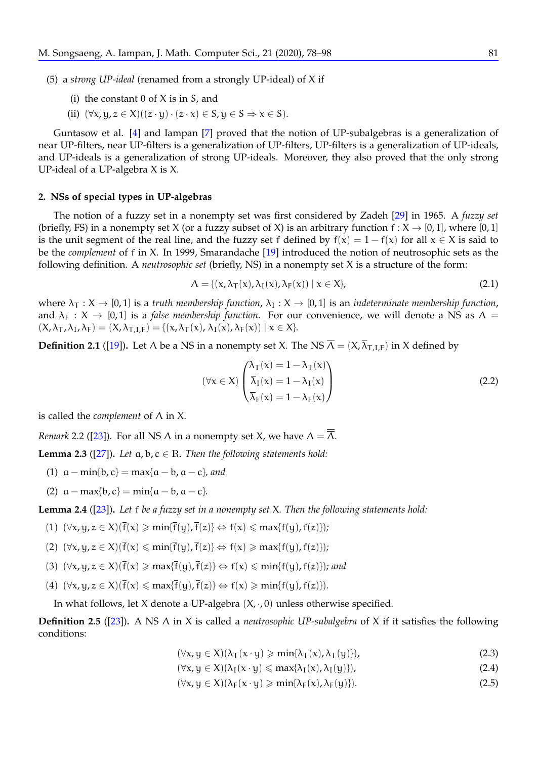(5) a *strong UP-ideal* (renamed from a strongly UP-ideal) of X if

- (i) the constant  $0$  of  $X$  is in  $S$ , and
- (ii)  $(\forall x, y, z \in X)((z \cdot y) \cdot (z \cdot x) \in S, y \in S \Rightarrow x \in S).$

<span id="page-4-4"></span>Guntasow et al. [\[4\]](#page-20-1) and Iampan [\[7\]](#page-20-6) proved that the notion of UP-subalgebras is a generalization of near UP-filters, near UP-filters is a generalization of UP-filters, UP-filters is a generalization of UP-ideals, and UP-ideals is a generalization of strong UP-ideals. Moreover, they also proved that the only strong UP-ideal of a UP-algebra X is X.

#### <span id="page-4-5"></span>**2. NSs of special types in UP-algebras**

The notion of a fuzzy set in a nonempty set was first considered by Zadeh [\[29\]](#page-21-20) in 1965. A *fuzzy set* (briefly, FS) in a nonempty set X (or a fuzzy subset of X) is an arbitrary function  $f : X \to [0,1]$ , where [0,1] is the unit segment of the real line, and the fuzzy set f defined by  $f(x) = 1 - f(x)$  for all  $x \in X$  is said to be the *complement* of f in X. In 1999, Smarandache [\[19\]](#page-21-0) introduced the notion of neutrosophic sets as the following definition. A *neutrosophic set* (briefly, NS) in a nonempty set X is a structure of the form:

$$
\Lambda = \{(\mathbf{x}, \lambda_{\mathsf{T}}(\mathbf{x}), \lambda_{\mathsf{I}}(\mathbf{x}), \lambda_{\mathsf{F}}(\mathbf{x})) \mid \mathbf{x} \in \mathsf{X}\},\tag{2.1}
$$

where  $\lambda_T : X \to [0,1]$  is a *truth membership function*,  $\lambda_I : X \to [0,1]$  is an *indeterminate membership function*, and  $\lambda_F$  :  $X \to [0, 1]$  is a *false membership function*. For our convenience, we will denote a NS as  $\Lambda =$  $(X, \lambda_{\mathsf{T}}, \lambda_{\mathsf{I}}, \lambda_{\mathsf{F}}) = (X, \lambda_{\mathsf{T},\mathsf{I},\mathsf{F}}) = \{(x, \lambda_{\mathsf{T}}(x), \lambda_{\mathsf{I}}(x), \lambda_{\mathsf{F}}(x)) \mid x \in X\}.$ 

<span id="page-4-6"></span>**Definition 2.1** ([\[19\]](#page-21-0)). Let  $\Lambda$  be a NS in a nonempty set X. The NS  $\overline{\Lambda} = (X, \overline{\lambda}_{\text{T,LF}})$  in X defined by

$$
(\forall x \in X) \begin{pmatrix} \lambda_{\mathsf{T}}(x) = 1 - \lambda_{\mathsf{T}}(x) \\ \overline{\lambda}_{\mathsf{I}}(x) = 1 - \lambda_{\mathsf{I}}(x) \\ \overline{\lambda}_{\mathsf{F}}(x) = 1 - \lambda_{\mathsf{F}}(x) \end{pmatrix}
$$
(2.2)

is called the *complement* of Λ in X.

<span id="page-4-3"></span>*Remark* 2.2 ([\[23\]](#page-21-9)). For all NS  $\Lambda$  in a nonempty set *X*, we have  $\Lambda = \overline{A}$ .

<span id="page-4-8"></span>**Lemma 2.3** ( $[27]$ ). Let  $\alpha$ ,  $\beta$ ,  $c \in \mathbb{R}$ . Then the following statements hold:

- (1)  $a min{b, c} = max{a b, a c}$ *, and*
- (2)  $a max{b, c} = min{a b, a c}$ *.*

<span id="page-4-0"></span>**Lemma 2.4** ([\[23\]](#page-21-9))**.** *Let* f *be a fuzzy set in a nonempty set* X*. Then the following statements hold:*

- <span id="page-4-1"></span>(1)  $(\forall x, y, z \in X)(\overline{f}(x)) \ge \min{\{\overline{f}(y), \overline{f}(z)\}} \Leftrightarrow f(x) \le \max{\{f(y), f(z)\}};$
- (2)  $(\forall x, y, z \in X)(\overline{f}(x) \leqslant \min{\{\overline{f}(y), \overline{f}(z)\}} \Leftrightarrow f(x) \geqslant \max{\{f(y), f(z)\}});$
- (3)  $(\forall x, y, z \in X)(\overline{f}(x)) \geq max{\overline{f}(y), \overline{f}(z)} \Leftrightarrow f(x) \leq min{\overline{f}(y), f(z)}}$ *; and*
- <span id="page-4-2"></span>(4)  $(\forall x, y, z \in X)(\overline{f}(x) \leq max{\overline{f}(y), \overline{f}(z)} \Leftrightarrow f(x) \geq min{\overline{f}(y), f(z)}).$

In what follows, let X denote a UP-algebra  $(X, \cdot, 0)$  unless otherwise specified.

<span id="page-4-7"></span>**Definition 2.5** ([\[23\]](#page-21-9))**.** A NS Λ in X is called a *neutrosophic UP-subalgebra* of X if it satisfies the following conditions:

 $(\forall x, y \in X)(\lambda_{\mathsf{T}}(x \cdot y) \geq \min{\lambda_{\mathsf{T}}(x), \lambda_{\mathsf{T}}(y)}),$  (2.3)

$$
(\forall x, y \in X)(\lambda_I(x \cdot y) \leqslant \max\{\lambda_I(x), \lambda_I(y)\}),\tag{2.4}
$$

$$
(\forall x, y \in X)(\lambda_F(x \cdot y) \geqslant \min\{\lambda_F(x), \lambda_F(y)\}).
$$
\n(2.5)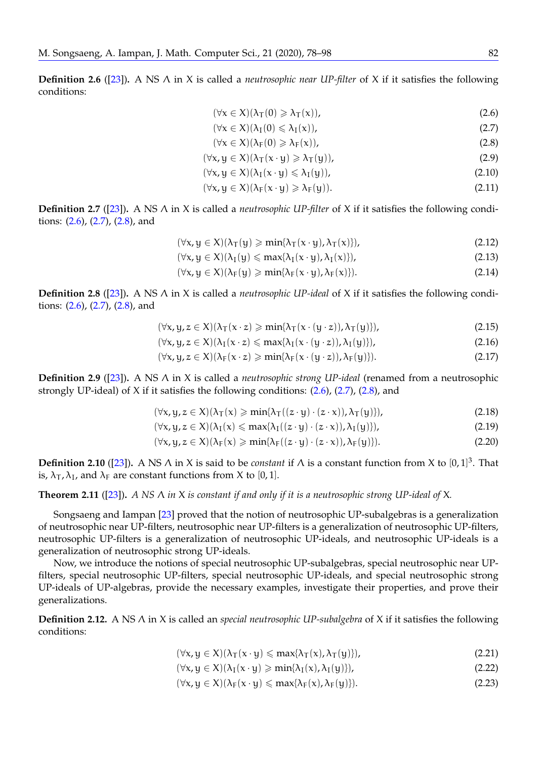<span id="page-5-7"></span>**Definition 2.6** ([\[23\]](#page-21-9))**.** A NS Λ in X is called a *neutrosophic near UP-filter* of X if it satisfies the following conditions:

<span id="page-5-2"></span><span id="page-5-1"></span><span id="page-5-0"></span>
$$
(\forall x \in X)(\lambda_T(0) \geq \lambda_T(x)), \tag{2.6}
$$

$$
(\forall x \in X)(\lambda_I(0) \leq \lambda_I(x)), \tag{2.7}
$$

$$
(\forall x \in X)(\lambda_F(0) \geq \lambda_F(x)), \tag{2.8}
$$

$$
(\forall x, y \in X)(\lambda_T(x \cdot y) \ge \lambda_T(y)),
$$
\n(2.9)

$$
(\forall x, y \in X)(\lambda_I(x \cdot y) \leq \lambda_I(y)), \qquad (2.10)
$$

$$
(\forall x, y \in X)(\lambda_F(x \cdot y) \geq \lambda_F(y)). \tag{2.11}
$$

<span id="page-5-8"></span>**Definition 2.7** ([\[23\]](#page-21-9))**.** A NS Λ in X is called a *neutrosophic UP-filter* of X if it satisfies the following conditions: [\(2.6\)](#page-5-0), [\(2.7\)](#page-5-1), [\(2.8\)](#page-5-2), and

$$
(\forall x, y \in X)(\lambda_T(y) \geqslant \min\{\lambda_T(x \cdot y), \lambda_T(x)\}),\tag{2.12}
$$

$$
(\forall x, y \in X)(\lambda_I(y) \leq \max\{\lambda_I(x \cdot y), \lambda_I(x)\}),\tag{2.13}
$$

$$
(\forall x, y \in X)(\lambda_F(y) \geqslant \min\{\lambda_F(x \cdot y), \lambda_F(x)\}).
$$
\n(2.14)

<span id="page-5-9"></span>**Definition 2.8** ([\[23\]](#page-21-9))**.** A NS Λ in X is called a *neutrosophic UP-ideal* of X if it satisfies the following conditions: [\(2.6\)](#page-5-0), [\(2.7\)](#page-5-1), [\(2.8\)](#page-5-2), and

$$
(\forall x, y, z \in X)(\lambda_T(x \cdot z) \geqslant \min\{\lambda_T(x \cdot (y \cdot z)), \lambda_T(y)\}),\tag{2.15}
$$

$$
(\forall x, y, z \in X)(\lambda_I(x \cdot z) \leq \max\{\lambda_I(x \cdot (y \cdot z)), \lambda_I(y)\}),
$$
\n(2.16)

$$
(\forall x, y, z \in X)(\lambda_F(x \cdot z) \geqslant \min\{\lambda_F(x \cdot (y \cdot z)), \lambda_F(y)\}).
$$
\n(2.17)

<span id="page-5-10"></span>**Definition 2.9** ([\[23\]](#page-21-9))**.** A NS Λ in X is called a *neutrosophic strong UP-ideal* (renamed from a neutrosophic strongly UP-ideal) of X if it satisfies the following conditions: [\(2.6\)](#page-5-0), [\(2.7\)](#page-5-1), [\(2.8\)](#page-5-2), and

$$
(\forall x, y, z \in X)(\lambda_T(x) \geqslant \min\{\lambda_T((z \cdot y) \cdot (z \cdot x)), \lambda_T(y)\}),\tag{2.18}
$$

$$
(\forall x, y, z \in X)(\lambda_I(x) \leq \max\{\lambda_I((z \cdot y) \cdot (z \cdot x)), \lambda_I(y)\}),
$$
\n(2.19)

$$
(\forall x, y, z \in X)(\lambda_F(x) \geqslant \min\{\lambda_F((z \cdot y) \cdot (z \cdot x)), \lambda_F(y)\}).
$$
\n(2.20)

<span id="page-5-11"></span>**Definition 2.10** ([\[23\]](#page-21-9)). A NS  $\wedge$  in X is said to be *constant* if  $\wedge$  is a constant function from X to [0,1]<sup>3</sup>. That is,  $\lambda_{\text{t}}$ ,  $\lambda_{\text{t}}$ , and  $\lambda_{\text{F}}$  are constant functions from X to [0, 1].

## <span id="page-5-6"></span>**Theorem 2.11** ([\[23\]](#page-21-9))**.** *A NS* Λ *in* X *is constant if and only if it is a neutrosophic strong UP-ideal of* X*.*

Songsaeng and Iampan [\[23\]](#page-21-9) proved that the notion of neutrosophic UP-subalgebras is a generalization of neutrosophic near UP-filters, neutrosophic near UP-filters is a generalization of neutrosophic UP-filters, neutrosophic UP-filters is a generalization of neutrosophic UP-ideals, and neutrosophic UP-ideals is a generalization of neutrosophic strong UP-ideals.

Now, we introduce the notions of special neutrosophic UP-subalgebras, special neutrosophic near UPfilters, special neutrosophic UP-filters, special neutrosophic UP-ideals, and special neutrosophic strong UP-ideals of UP-algebras, provide the necessary examples, investigate their properties, and prove their generalizations.

**Definition 2.12.** A NS Λ in X is called an *special neutrosophic UP-subalgebra* of X if it satisfies the following conditions:

<span id="page-5-4"></span><span id="page-5-3"></span>
$$
(\forall x, y \in X)(\lambda_T(x \cdot y) \leqslant \max\{\lambda_T(x), \lambda_T(y)\}),\tag{2.21}
$$

<span id="page-5-5"></span>
$$
(\forall x, y \in X)(\lambda_I(x \cdot y) \geqslant \min\{\lambda_I(x), \lambda_I(y)\}),\tag{2.22}
$$

$$
(\forall x, y \in X)(\lambda_F(x \cdot y) \leqslant \max\{\lambda_F(x), \lambda_F(y)\}).
$$
\n(2.23)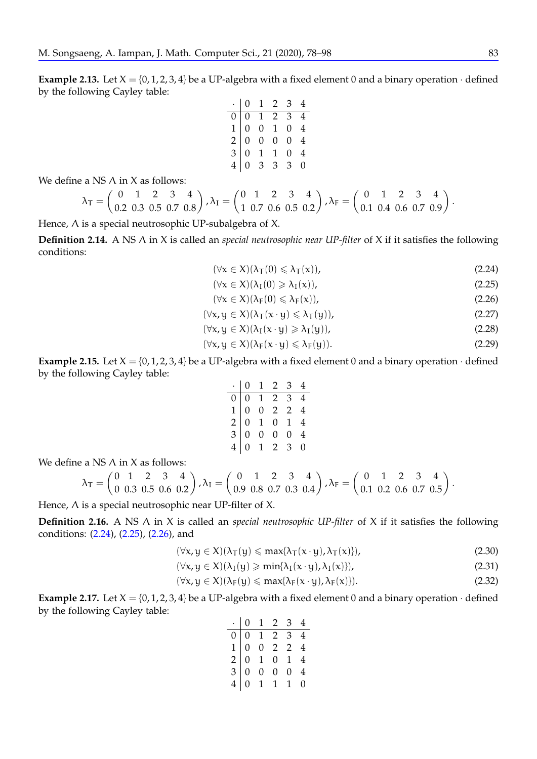**Example 2.13.** Let  $X = \{0, 1, 2, 3, 4\}$  be a UP-algebra with a fixed element 0 and a binary operation  $\cdot$  defined by the following Cayley table:

$$
\begin{array}{c|cccc}\n\cdot & 0 & 1 & 2 & 3 & 4 \\
\hline\n0 & 0 & 1 & 2 & 3 & 4 \\
1 & 0 & 0 & 1 & 0 & 4 \\
2 & 0 & 0 & 0 & 0 & 4 \\
3 & 0 & 1 & 1 & 0 & 4 \\
4 & 0 & 3 & 3 & 3 & 0\n\end{array}
$$

We define a NS  $\Lambda$  in X as follows:

$$
\lambda_{\text{T}} = \begin{pmatrix} 0 & 1 & 2 & 3 & 4 \\ 0.2 & 0.3 & 0.5 & 0.7 & 0.8 \end{pmatrix}, \lambda_{\text{I}} = \begin{pmatrix} 0 & 1 & 2 & 3 & 4 \\ 1 & 0.7 & 0.6 & 0.5 & 0.2 \end{pmatrix}, \lambda_{\text{F}} = \begin{pmatrix} 0 & 1 & 2 & 3 & 4 \\ 0.1 & 0.4 & 0.6 & 0.7 & 0.9 \end{pmatrix}.
$$

Hence, Λ is a special neutrosophic UP-subalgebra of X.

**Definition 2.14.** A NS Λ in X is called an *special neutrosophic near UP-filter* of X if it satisfies the following conditions:

<span id="page-6-2"></span><span id="page-6-1"></span><span id="page-6-0"></span>
$$
(\forall x \in X)(\lambda_T(0) \leq \lambda_T(x)), \tag{2.24}
$$

$$
(\forall x \in X)(\lambda_I(0) \geq \lambda_I(x)), \tag{2.25}
$$

$$
(\forall x \in X)(\lambda_F(0) \le \lambda_F(x)),
$$
  
( $\forall x \le X$ ) $(\lambda_T(x, y) < \lambda_T(y))$  (2.26)

$$
(\forall x, y \in \Lambda)(\Lambda_{T}(x \cdot y) \leq \Lambda_{T}(y)),
$$
  

$$
(\forall x, y \in \Lambda)(\Lambda_{T}(x \cdot y) \geq \Lambda_{T}(y)),
$$
  
(2.28)

$$
(\forall x, y \in X)(\lambda_{\mathbb{F}}(x \cdot y) \le \lambda_{\mathbb{F}}(y)).
$$
\n
$$
(\forall x, y \in X)(\lambda_{\mathbb{F}}(x \cdot y) \le \lambda_{\mathbb{F}}(y)).
$$
\n(2.29)

$$
(1.57) (1.1 \times 1.1) (1.1 \times 1.1) (1.1 \times 1.1) (1.1 \times 1.1) (1.1 \times 1.1) (1.1 \times 1.1) (1.1 \times 1.1) (1.1 \times 1.1) (1.1 \times 1.1) (1.1 \times 1.1) (1.1 \times 1.1) (1.1 \times 1.1) (1.1 \times 1.1) (1.1 \times 1.1) (1.1 \times 1.1) (1.1 \times 1.1) (1.1 \times 1.1) (1.1 \times 1.1) (1.1 \times 1.1) (1.1 \times 1.1) (1.1 \times 1.1) (1.1 \times 1.1) (1.1 \times 1.1) (1.1 \times 1.1) (1.1 \times 1.1) (1.1 \times 1.1) (1.1 \times 1.1) (1.1 \times 1.1) (1.1 \times 1.1) (1.1 \times 1.1) (1.1 \times 1.1) (1.1 \times 1.1) (1.1 \times 1.1) (1.1 \times 1.1) (1.1 \times 1.1) (1.1 \times 1.1) (1.1 \times 1.1) (1.1 \times 1.1) (1.1 \times 1.1) (1.1 \times 1.1) (1.1 \times 1.1) (1.1 \times 1.1) (1.1 \times 1.1) (1.1 \times 1.1) (1.1 \times 1.1) (1.1 \times 1.1) (1.1 \times 1.1) (1.1 \times 1.1) (1.1 \times 1.1) (1.1 \times 1.1) (1.1 \times 1.1) (1.1 \times 1.1) (1.1 \times 1.1) (1.1 \times 1.1) (1.1 \times 1.1) (1.1 \times 1.1) (1.1 \times 1.1) (1.1 \times 1.1) (1.1 \times 1.1) (1.1 \times 1.1) (1.1 \times 1.1) (1.1 \times 1.1) (1.1 \times 1.1) (1.1 \times 1.1) (1.1 \times 1.1) (1.1 \times 1.1) (1.1 \times 1.1) (1.1 \times 1.1) (1.1 \times
$$

**Example 2.15.** Let  $X = \{0, 1, 2, 3, 4\}$  be a UP-algebra with a fixed element 0 and a binary operation  $\cdot$  defined by the following Cayley table:

<span id="page-6-4"></span><span id="page-6-3"></span>

|  | $\begin{array}{c cccc} \cdot&0&1&2&3&4\\ \hline 0&0&1&2&3&4\\ 1&0&0&2&2&4\\ 2&0&1&0&1&4\\ 3&0&0&0&0&4\\ 4&0&1&2&3&0\\ \end{array}$ |  |
|--|------------------------------------------------------------------------------------------------------------------------------------|--|

We define a NS  $\Lambda$  in X as follows:

$$
\lambda_T = \begin{pmatrix} 0 & 1 & 2 & 3 & 4 \\ 0 & 0.3 & 0.5 & 0.6 & 0.2 \end{pmatrix}, \lambda_I = \begin{pmatrix} 0 & 1 & 2 & 3 & 4 \\ 0.9 & 0.8 & 0.7 & 0.3 & 0.4 \end{pmatrix}, \lambda_F = \begin{pmatrix} 0 & 1 & 2 & 3 & 4 \\ 0.1 & 0.2 & 0.6 & 0.7 & 0.5 \end{pmatrix}.
$$

Hence, Λ is a special neutrosophic near UP-filter of X.

**Definition 2.16.** A NS Λ in X is called an *special neutrosophic UP-filter* of X if it satisfies the following conditions: [\(2.24\)](#page-6-0), [\(2.25\)](#page-6-1), [\(2.26\)](#page-6-2), and

$$
(\forall x, y \in X)(\lambda_T(y) \le \max\{\lambda_T(x \cdot y), \lambda_T(x)\}),\tag{2.30}
$$

$$
(\forall x, y \in X)(\lambda_I(y) \geqslant \min\{\lambda_I(x \cdot y), \lambda_I(x)\}),\tag{2.31}
$$

$$
(\forall x, y \in X)(\lambda_F(y) \leqslant \max\{\lambda_F(x \cdot y), \lambda_F(x)\}).
$$
\n(2.32)

**Example 2.17.** Let  $X = \{0, 1, 2, 3, 4\}$  be a UP-algebra with a fixed element 0 and a binary operation  $\cdot$  defined by the following Cayley table:

<span id="page-6-7"></span><span id="page-6-6"></span><span id="page-6-5"></span>

| $\begin{array}{c cccc} \cdot&0&1&2&3&4\\ \hline 0&0&1&2&3&4\\ 1&0&0&2&2&4\\ 2&0&1&0&1&4\\ 3&0&0&0&0&4\\ 4&0&1&1&1&0\\ \end{array}$ |  |  |
|------------------------------------------------------------------------------------------------------------------------------------|--|--|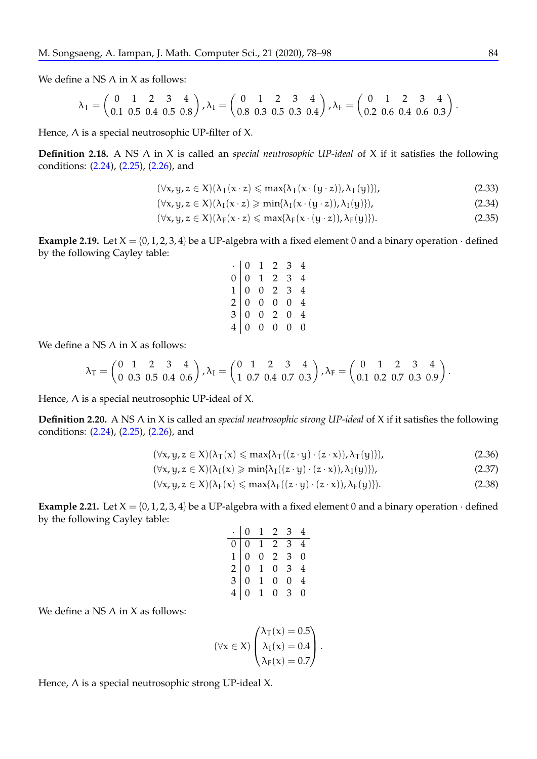We define a NS  $\Lambda$  in X as follows:

$$
\lambda_{\text{T}} = \begin{pmatrix} 0 & 1 & 2 & 3 & 4 \\ 0.1 & 0.5 & 0.4 & 0.5 & 0.8 \end{pmatrix}, \lambda_{\text{I}} = \begin{pmatrix} 0 & 1 & 2 & 3 & 4 \\ 0.8 & 0.3 & 0.5 & 0.3 & 0.4 \end{pmatrix}, \lambda_{\text{F}} = \begin{pmatrix} 0 & 1 & 2 & 3 & 4 \\ 0.2 & 0.6 & 0.4 & 0.6 & 0.3 \end{pmatrix}
$$

Hence,  $\Lambda$  is a special neutrosophic UP-filter of X.

**Definition 2.18.** A NS Λ in X is called an *special neutrosophic UP-ideal* of X if it satisfies the following conditions: [\(2.24\)](#page-6-0), [\(2.25\)](#page-6-1), [\(2.26\)](#page-6-2), and

$$
(\forall x, y, z \in X)(\lambda_T(x \cdot z) \le \max\{\lambda_T(x \cdot (y \cdot z)), \lambda_T(y)\}),\tag{2.33}
$$

$$
(\forall x, y, z \in X)(\lambda_I(x \cdot z) \geqslant \min\{\lambda_I(x \cdot (y \cdot z)), \lambda_I(y)\}),
$$
\n
$$
(\lambda_1(x \cdot y) \cdot \lambda_1(y)) \geqslant \lambda_1(y) \geqslant \lambda_2(y) \geqslant \lambda_1(y) \geqslant \lambda_2(y) \geqslant \lambda_1(y) \geqslant \lambda_2(y) \geqslant \lambda_1(y) \geqslant \lambda_2(y) \geqslant \lambda_1(y) \geqslant \lambda_2(y) \geqslant \lambda_1(y) \geqslant \lambda_2(y) \geqslant \lambda_1(y) \geqslant \lambda_2(y) \geqslant \lambda_1(y) \geqslant \lambda_2(y) \geqslant \lambda_1(y) \geqslant \lambda_2(y) \geqslant \lambda_1(y) \geqslant \lambda_2(y) \geqslant \lambda_1(y) \geqslant \lambda_2(y) \geqslant \lambda_1(y) \geqslant \lambda_2(y) \geqslant \lambda_1(y) \geqslant \lambda_2(y) \geqslant \lambda_1(y) \geqslant \lambda_1(y) \geqslant \lambda_1(y) \geqslant \lambda_1(y) \geqslant \lambda_1(y) \geqslant \lambda_1(y) \geqslant \lambda_1(y) \geqslant \lambda_1(y) \geqslant \lambda_1(y) \geqslant \lambda_1(y) \geqslant \lambda_1(y) \geqslant \lambda_1(y) \geqslant \lambda_1(y) \geqslant \lambda_1(y) \geqslant \lambda_1(y) \geqslant \lambda_1(y) \geqslant \lambda_1(y) \geqslant \lambda_1(y) \geqslant \lambda_1(y) \geqslant \lambda_1(y) \geqslant \lambda_1(y) \geqslant \lambda_1(y) \geqslant \lambda_1(y) \geqslant \lambda_1(y) \geqslant \lambda_1(y) \geqslant \lambda_1(y) \geqslant \lambda_1(y) \geqslant \lambda_1(y) \geqslant \lambda_1(y) \geqslant \lambda_1(y) \geqslant \lambda_1(y) \geqslant \lambda_1(y) \geqslant \lambda_1(y) \geqslant \lambda_1(y) \geqslant \lambda_1(y) \geqslant \lambda_1(y) \geqslant
$$

$$
(\forall x, y, z \in X) (\lambda_F(x \cdot z) \leq \max\{\lambda_F(x \cdot (y \cdot z)), \lambda_F(y)\}).
$$
\n(2.35)

**Example 2.19.** Let  $X = \{0, 1, 2, 3, 4\}$  be a UP-algebra with a fixed element 0 and a binary operation  $\cdot$  defined by the following Cayley table:

|  | $\begin{array}{c cccc} \cdot&0&1&2&3&4\\ \hline 0&0&1&2&3&4\\ 1&0&0&2&3&4\\ 2&0&0&0&0&4\\ 3&0&0&2&0&4\\ 4&0&0&0&0&0 \end{array}$ |  |
|--|----------------------------------------------------------------------------------------------------------------------------------|--|

We define a NS  $\Lambda$  in X as follows:

$$
\lambda_{\text{T}} = \begin{pmatrix} 0 & 1 & 2 & 3 & 4 \\ 0 & 0.3 & 0.5 & 0.4 & 0.6 \end{pmatrix}, \lambda_{\text{I}} = \begin{pmatrix} 0 & 1 & 2 & 3 & 4 \\ 1 & 0.7 & 0.4 & 0.7 & 0.3 \end{pmatrix}, \lambda_{\text{F}} = \begin{pmatrix} 0 & 1 & 2 & 3 & 4 \\ 0.1 & 0.2 & 0.7 & 0.3 & 0.9 \end{pmatrix}.
$$

Hence, Λ is a special neutrosophic UP-ideal of X.

**Definition 2.20.** A NS Λ in X is called an *special neutrosophic strong UP-ideal* of X if it satisfies the following conditions: [\(2.24\)](#page-6-0), [\(2.25\)](#page-6-1), [\(2.26\)](#page-6-2), and

$$
(\forall x, y, z \in X)(\lambda_T(x) \le \max\{\lambda_T((z \cdot y) \cdot (z \cdot x)), \lambda_T(y)\}),\tag{2.36}
$$

$$
(\forall x, y, z \in X)(\lambda_I(x) \geq \min\{\lambda_I((z \cdot y) \cdot (z \cdot x)), \lambda_I(y)\}),\tag{2.37}
$$

$$
(\forall x, y, z \in X)(\lambda_F(x) \le \max\{\lambda_F((z \cdot y) \cdot (z \cdot x)), \lambda_F(y)\}).
$$
\n(2.38)

**Example 2.21.** Let  $X = \{0, 1, 2, 3, 4\}$  be a UP-algebra with a fixed element 0 and a binary operation  $\cdot$  defined by the following Cayley table:

|  | $\begin{array}{c cccc} \cdot&0&1&2&3&4\\ \hline 0&0&1&2&3&4\\ 1&0&0&2&3&0\\ 2&0&1&0&3&4\\ 3&0&1&0&0&4\\ 4&0&1&0&3&0 \end{array}$ |  |
|--|----------------------------------------------------------------------------------------------------------------------------------|--|

We define a NS  $\Lambda$  in X as follows:

$$
(\forall x \in X) \begin{pmatrix} \lambda_T(x) = 0.5 \\ \lambda_I(x) = 0.4 \\ \lambda_F(x) = 0.7 \end{pmatrix}.
$$

Hence, Λ is a special neutrosophic strong UP-ideal X.

<span id="page-7-2"></span><span id="page-7-1"></span><span id="page-7-0"></span>.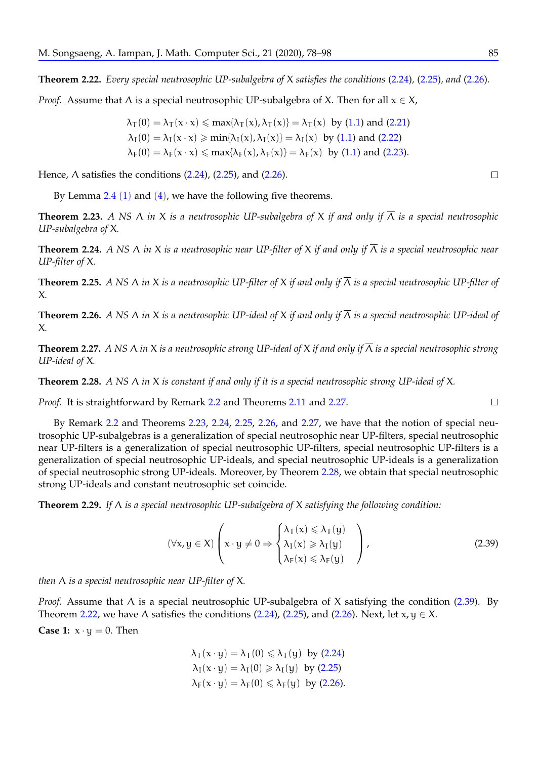<span id="page-8-7"></span>**Theorem 2.22.** *Every special neutrosophic UP-subalgebra of* X *satisfies the conditions* [\(2.24\)](#page-6-0)*,* [\(2.25\)](#page-6-1)*, and* [\(2.26\)](#page-6-2)*.*

*Proof.* Assume that  $\Lambda$  is a special neutrosophic UP-subalgebra of X. Then for all  $x \in X$ ,

$$
\begin{aligned} \lambda_T(0)&=\lambda_T(x\cdot x)\leqslant \text{max}\{\lambda_T(x),\lambda_T(x)\}=\lambda_T(x)\ \ \text{by}\ (1.1)\ \text{and}\ (2.21)\\ \lambda_I(0)&=\lambda_I(x\cdot x)\geqslant \text{min}\{\lambda_I(x),\lambda_I(x)\}=\lambda_I(x)\ \ \text{by}\ (1.1)\ \text{and}\ (2.22)\\ \lambda_F(0)&=\lambda_F(x\cdot x)\leqslant \text{max}\{\lambda_F(x),\lambda_F(x)\}=\lambda_F(x)\ \ \text{by}\ (1.1)\ \text{and}\ (2.23). \end{aligned}
$$

Hence,  $\Lambda$  satisfies the conditions  $(2.24)$ ,  $(2.25)$ , and  $(2.26)$ .

By Lemma  $2.4$  ([1](#page-4-1)) and ([4](#page-4-2)), we have the following five theorems.

<span id="page-8-1"></span>**Theorem 2.23.** *A NS* Λ *in* X *is a neutrosophic UP-subalgebra of* X *if and only if* Λ *is a special neutrosophic UP-subalgebra of* X*.*

<span id="page-8-2"></span>**Theorem 2.24.** *A NS* Λ *in* X *is a neutrosophic near UP-filter of* X *if and only if* Λ *is a special neutrosophic near UP-filter of* X*.*

<span id="page-8-3"></span>**Theorem 2.25.** *A NS* Λ *in* X *is a neutrosophic UP-filter of* X *if and only if* Λ *is a special neutrosophic UP-filter of* X*.*

<span id="page-8-4"></span>**Theorem 2.26.** *A NS* Λ *in* X *is a neutrosophic UP-ideal of* X *if and only if* Λ *is a special neutrosophic UP-ideal of* X*.*

<span id="page-8-0"></span>**Theorem 2.27.** *A NS* Λ *in* X *is a neutrosophic strong UP-ideal of* X *if and only if* Λ *is a special neutrosophic strong UP-ideal of* X*.*

<span id="page-8-5"></span>**Theorem 2.28.** *A NS* Λ *in* X *is constant if and only if it is a special neutrosophic strong UP-ideal of* X*.*

*Proof.* It is straightforward by Remark [2.2](#page-4-3) and Theorems [2.11](#page-5-6) and [2.27.](#page-8-0)

By Remark [2.2](#page-4-3) and Theorems [2.23,](#page-8-1) [2.24,](#page-8-2) [2.25,](#page-8-3) [2.26,](#page-8-4) and [2.27,](#page-8-0) we have that the notion of special neutrosophic UP-subalgebras is a generalization of special neutrosophic near UP-filters, special neutrosophic near UP-filters is a generalization of special neutrosophic UP-filters, special neutrosophic UP-filters is a generalization of special neutrosophic UP-ideals, and special neutrosophic UP-ideals is a generalization of special neutrosophic strong UP-ideals. Moreover, by Theorem [2.28,](#page-8-5) we obtain that special neutrosophic strong UP-ideals and constant neutrosophic set coincide.

**Theorem 2.29.** *If* Λ *is a special neutrosophic UP-subalgebra of* X *satisfying the following condition:*

$$
(\forall x, y \in X) \left( x \cdot y \neq 0 \Rightarrow \begin{cases} \lambda_T(x) \leq \lambda_T(y) \\ \lambda_I(x) \geq \lambda_I(y) \\ \lambda_F(x) \leq \lambda_F(y) \end{cases} \right), \tag{2.39}
$$

*then* Λ *is a special neutrosophic near UP-filter of* X*.*

*Proof.* Assume that Λ is a special neutrosophic UP-subalgebra of X satisfying the condition [\(2.39\)](#page-8-6). By Theorem [2.22,](#page-8-7) we have  $\Lambda$  satisfies the conditions [\(2.24\)](#page-6-0), [\(2.25\)](#page-6-1), and [\(2.26\)](#page-6-2). Next, let  $x, y \in X$ .

**Case 1:**  $x \cdot y = 0$ . Then

<span id="page-8-6"></span>
$$
\begin{aligned} \lambda_T(x \cdot y) &= \lambda_T(0) \leqslant \lambda_T(y) \ \text{ by } (2.24) \\ \lambda_I(x \cdot y) &= \lambda_I(0) \geqslant \lambda_I(y) \ \text{ by } (2.25) \\ \lambda_F(x \cdot y) &= \lambda_F(0) \leqslant \lambda_F(y) \ \text{ by } (2.26). \end{aligned}
$$

 $\Box$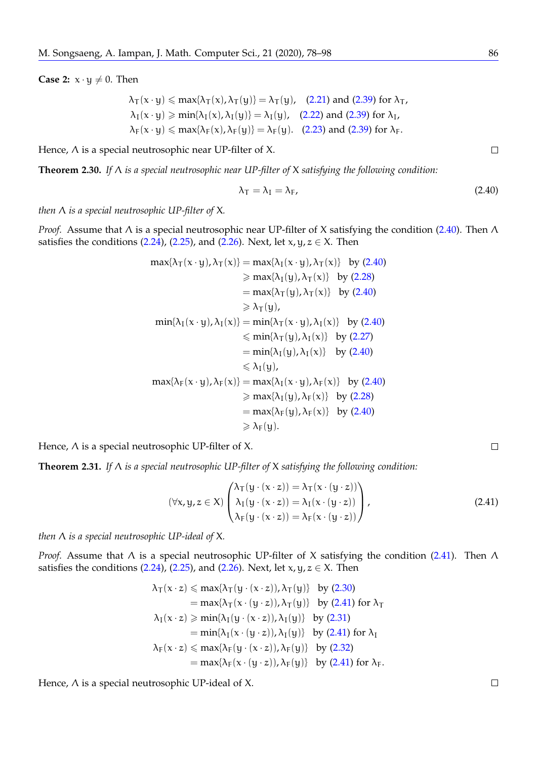**Case 2:**  $x \cdot y \neq 0$ . Then

$$
\lambda_T(x \cdot y) \le \max\{\lambda_T(x), \lambda_T(y)\} = \lambda_T(y), \quad (2.21) \text{ and } (2.39) \text{ for } \lambda_T,
$$
\n
$$
\lambda_I(x \cdot y) \ge \min\{\lambda_I(x), \lambda_I(y)\} = \lambda_I(y), \quad (2.22) \text{ and } (2.39) \text{ for } \lambda_I,
$$
\n
$$
\lambda_F(x \cdot y) \le \max\{\lambda_F(x), \lambda_F(y)\} = \lambda_F(y). \quad (2.23) \text{ and } (2.39) \text{ for } \lambda_F.
$$

Hence,  $\Lambda$  is a special neutrosophic near UP-filter of X.

**Theorem 2.30.** *If* Λ *is a special neutrosophic near UP-filter of* X *satisfying the following condition:*

<span id="page-9-0"></span>
$$
\lambda_{\mathsf{T}} = \lambda_{\mathsf{I}} = \lambda_{\mathsf{F}},\tag{2.40}
$$

*then* Λ *is a special neutrosophic UP-filter of* X*.*

*Proof.* Assume that Λ is a special neutrosophic near UP-filter of X satisfying the condition [\(2.40\)](#page-9-0). Then Λ satisfies the conditions [\(2.24\)](#page-6-0), [\(2.25\)](#page-6-1), and [\(2.26\)](#page-6-2). Next, let  $x, y, z \in X$ . Then

$$
\max\{\lambda_T(x \cdot y), \lambda_T(x)\} = \max\{\lambda_I(x \cdot y), \lambda_T(x)\} \text{ by (2.40)}
$$
\n
$$
\geq \max\{\lambda_I(y), \lambda_T(x)\} \text{ by (2.28)}
$$
\n
$$
= \max\{\lambda_T(y), \lambda_T(x)\} \text{ by (2.40)}
$$
\n
$$
\geq \lambda_T(y),
$$
\n
$$
\min\{\lambda_I(x \cdot y), \lambda_I(x)\} = \min\{\lambda_T(x \cdot y), \lambda_I(x)\} \text{ by (2.40)}
$$
\n
$$
\leq \min\{\lambda_T(y), \lambda_I(x)\} \text{ by (2.27)}
$$
\n
$$
= \min\{\lambda_I(y), \lambda_I(x)\} \text{ by (2.40)}
$$
\n
$$
\leq \lambda_I(y),
$$
\n
$$
\max\{\lambda_F(x \cdot y), \lambda_F(x)\} = \max\{\lambda_I(x \cdot y), \lambda_F(x)\} \text{ by (2.40)}
$$
\n
$$
\geq \max\{\lambda_I(y), \lambda_F(x)\} \text{ by (2.28)}
$$
\n
$$
= \max\{\lambda_F(y), \lambda_F(x)\} \text{ by (2.40)}
$$
\n
$$
\geq \lambda_F(y).
$$

Hence, Λ is a special neutrosophic UP-filter of X.

**Theorem 2.31.** *If* Λ *is a special neutrosophic UP-filter of* X *satisfying the following condition:*

<span id="page-9-1"></span>
$$
(\forall x, y, z \in X) \begin{pmatrix} \lambda_T(y \cdot (x \cdot z)) = \lambda_T(x \cdot (y \cdot z)) \\ \lambda_I(y \cdot (x \cdot z)) = \lambda_I(x \cdot (y \cdot z)) \\ \lambda_F(y \cdot (x \cdot z)) = \lambda_F(x \cdot (y \cdot z)) \end{pmatrix},
$$
\n(2.41)

*then* Λ *is a special neutrosophic UP-ideal of* X*.*

*Proof.* Assume that Λ is a special neutrosophic UP-filter of X satisfying the condition [\(2.41\)](#page-9-1). Then Λ satisfies the conditions [\(2.24\)](#page-6-0), [\(2.25\)](#page-6-1), and [\(2.26\)](#page-6-2). Next, let  $x, y, z \in X$ . Then

$$
\begin{aligned}\n\lambda_T(x \cdot z) &\leq \max\{\lambda_T(y \cdot (x \cdot z)), \lambda_T(y)\} \quad \text{by (2.30)} \\
&= \max\{\lambda_T(x \cdot (y \cdot z)), \lambda_T(y)\} \quad \text{by (2.41) for } \lambda_T \\
\lambda_I(x \cdot z) &\geq \min\{\lambda_I(y \cdot (x \cdot z)), \lambda_I(y)\} \quad \text{by (2.31)} \\
&= \min\{\lambda_I(x \cdot (y \cdot z)), \lambda_I(y)\} \quad \text{by (2.41) for } \lambda_I \\
\lambda_F(x \cdot z) &\leq \max\{\lambda_F(y \cdot (x \cdot z)), \lambda_F(y)\} \quad \text{by (2.32)} \\
&= \max\{\lambda_F(x \cdot (y \cdot z)), \lambda_F(y)\} \quad \text{by (2.41) for } \lambda_F.\n\end{aligned}
$$

Hence, Λ is a special neutrosophic UP-ideal of X.

 $\Box$ 

 $\Box$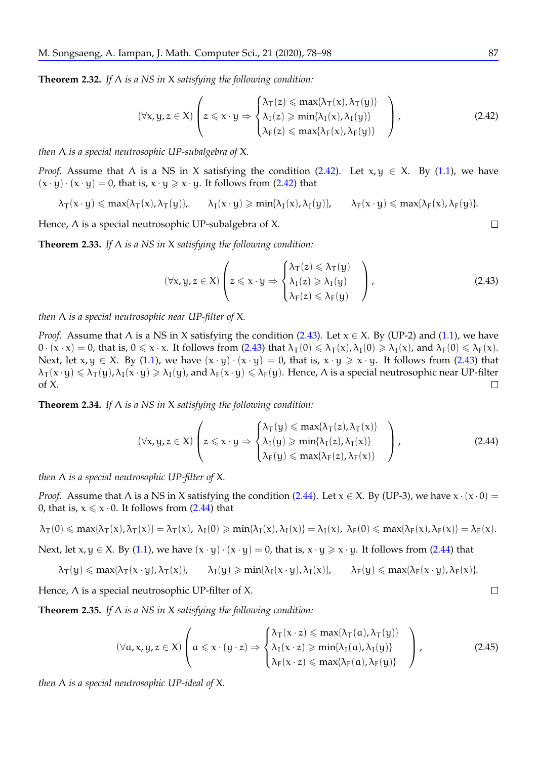**Theorem 2.32.** *If* Λ *is a NS in* X *satisfying the following condition:*

<span id="page-10-0"></span>
$$
(\forall x, y, z \in X) \left( z \leq x \cdot y \Rightarrow \begin{cases} \lambda_T(z) \leq \max\{\lambda_T(x), \lambda_T(y)\} \\ \lambda_I(z) \geq \min\{\lambda_I(x), \lambda_I(y)\} \\ \lambda_F(z) \leq \max\{\lambda_F(x), \lambda_F(y)\} \end{cases} \right),
$$
(2.42)

*then* Λ *is a special neutrosophic UP-subalgebra of* X*.*

*Proof.* Assume that  $\Lambda$  is a NS in X satisfying the condition [\(2.42\)](#page-10-0). Let  $x, y \in X$ . By [\(1.1\)](#page-3-0), we have  $(x \cdot y) \cdot (x \cdot y) = 0$ , that is,  $x \cdot y \ge x \cdot y$ . It follows from [\(2.42\)](#page-10-0) that

 $\lambda_{\text{T}}(x \cdot y) \leq \max\{\lambda_{\text{T}}(x), \lambda_{\text{T}}(y)\}, \qquad \lambda_{\text{I}}(x \cdot y) \geq \min\{\lambda_{\text{I}}(x), \lambda_{\text{I}}(y)\}, \qquad \lambda_{\text{F}}(x \cdot y) \leq \max\{\lambda_{\text{F}}(x), \lambda_{\text{F}}(y)\}.$ 

Hence,  $\Lambda$  is a special neutrosophic UP-subalgebra of X.

**Theorem 2.33.** *If* Λ *is a NS in* X *satisfying the following condition:*

<span id="page-10-1"></span>
$$
(\forall x, y, z \in X) \left( z \leq x \cdot y \Rightarrow \begin{cases} \lambda_T(z) \leq \lambda_T(y) \\ \lambda_I(z) \geq \lambda_I(y) \\ \lambda_F(z) \leq \lambda_F(y) \end{cases} \right), \tag{2.43}
$$

*then* Λ *is a special neutrosophic near UP-filter of* X*.*

*Proof.* Assume that  $\Lambda$  is a NS in X satisfying the condition [\(2.43\)](#page-10-1). Let  $x \in X$ . By (UP-2) and [\(1.1\)](#page-3-0), we have  $0 \cdot (x \cdot x) = 0$ , that is,  $0 \le x \cdot x$ . It follows from [\(2.43\)](#page-10-1) that  $\lambda_{\text{T}}(0) \le \lambda_{\text{T}}(x)$ ,  $\lambda_{\text{I}}(0) \ge \lambda_{\text{I}}(x)$ , and  $\lambda_{\text{F}}(0) \le \lambda_{\text{F}}(x)$ . Next, let  $x, y \in X$ . By [\(1.1\)](#page-3-0), we have  $(x \cdot y) \cdot (x \cdot y) = 0$ , that is,  $x \cdot y \geq x \cdot y$ . It follows from [\(2.43\)](#page-10-1) that  $\lambda_{\mathsf{T}}(x \cdot y) \leq \lambda_{\mathsf{T}}(y)$ ,  $\lambda_{\mathsf{I}}(x \cdot y) \geq \lambda_{\mathsf{I}}(y)$ , and  $\lambda_{\mathsf{F}}(x \cdot y) \leq \lambda_{\mathsf{F}}(y)$ . Hence,  $\Lambda$  is a special neutrosophic near UP-filter of X.  $\Box$ 

**Theorem 2.34.** *If* Λ *is a NS in* X *satisfying the following condition:*

<span id="page-10-2"></span>
$$
(\forall x, y, z \in X) \left( z \leq x \cdot y \Rightarrow \begin{cases} \lambda_T(y) \leq \max\{\lambda_T(z), \lambda_T(x)\} \\ \lambda_I(y) \geq \min\{\lambda_I(z), \lambda_I(x)\} \\ \lambda_F(y) \leq \max\{\lambda_F(z), \lambda_F(x)\} \end{cases} \right),
$$
(2.44)

*then* Λ *is a special neutrosophic UP-filter of* X*.*

*Proof.* Assume that  $\Lambda$  is a NS in X satisfying the condition [\(2.44\)](#page-10-2). Let  $x \in X$ . By (UP-3), we have  $x \cdot (x \cdot 0) =$ 0, that is,  $x \le x \cdot 0$ . It follows from [\(2.44\)](#page-10-2) that

$$
\lambda_T(0)\leqslant max\{\lambda_T(x),\lambda_T(x)\}=\lambda_T(x),\; \lambda_I(0)\geqslant min\{\lambda_I(x),\lambda_I(x)\}=\lambda_I(x),\; \lambda_F(0)\leqslant max\{\lambda_F(x),\lambda_F(x)\}=\lambda_F(x).
$$

Next, let  $x, y \in X$ . By [\(1.1\)](#page-3-0), we have  $(x \cdot y) \cdot (x \cdot y) = 0$ , that is,  $x \cdot y \ge x \cdot y$ . It follows from [\(2.44\)](#page-10-2) that

$$
\lambda_T(y) \leqslant \text{max}\{\lambda_T(x\cdot y),\lambda_T(x)\}, \qquad \lambda_I(y) \geqslant \text{min}\{\lambda_I(x\cdot y),\lambda_I(x)\}, \qquad \lambda_F(y) \leqslant \text{max}\{\lambda_F(x\cdot y),\lambda_F(x)\}.
$$

Hence,  $\Lambda$  is a special neutrosophic UP-filter of X.

**Theorem 2.35.** *If* Λ *is a NS in* X *satisfying the following condition:*

<span id="page-10-3"></span>
$$
(\forall a, x, y, z \in X) \left( a \leq x \cdot (y \cdot z) \Rightarrow \begin{cases} \lambda_T(x \cdot z) \leq \max\{\lambda_T(a), \lambda_T(y)\} \\ \lambda_T(x \cdot z) \geq \min\{\lambda_T(a), \lambda_T(y)\} \\ \lambda_F(x \cdot z) \leq \max\{\lambda_F(a), \lambda_F(y)\} \end{cases} \right),
$$
(2.45)

*then* Λ *is a special neutrosophic UP-ideal of* X*.*

$$
\sqcup
$$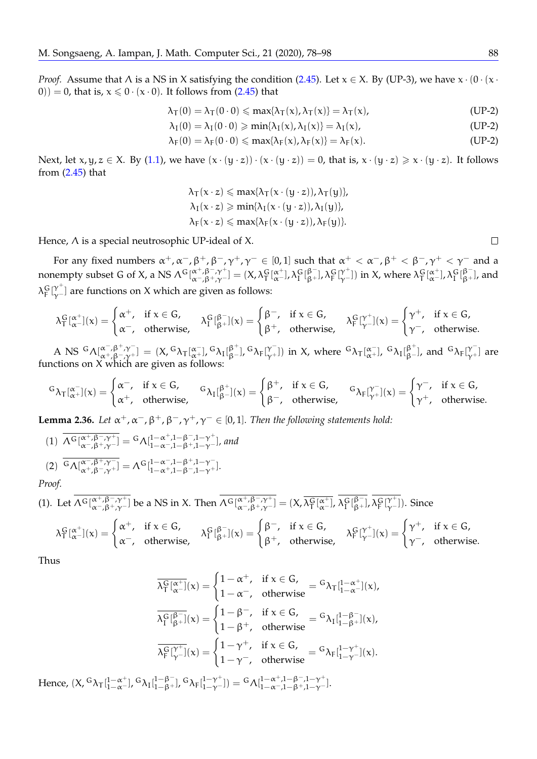*Proof.* Assume that  $\Lambda$  is a NS in X satisfying the condition [\(2.45\)](#page-10-3). Let  $x \in X$ . By (UP-3), we have  $x \cdot (0 \cdot (x \cdot$ 0)) = 0, that is,  $x \le 0 \cdot (x \cdot 0)$ . It follows from [\(2.45\)](#page-10-3) that

$$
\lambda_{\mathsf{T}}(0) = \lambda_{\mathsf{T}}(0 \cdot 0) \leqslant \max\{\lambda_{\mathsf{T}}(x), \lambda_{\mathsf{T}}(x)\} = \lambda_{\mathsf{T}}(x),\tag{UP-2}
$$

$$
\lambda_I(0)=\lambda_I(0\cdot 0)\geqslant min\{\lambda_I(x),\lambda_I(x)\}=\lambda_I(x),\qquad \qquad \text{(UP-2)}
$$

$$
\lambda_F(0)=\lambda_F(0\cdot 0)\leqslant max\{\lambda_F(x),\lambda_F(x)\}=\lambda_F(x). \hspace{1.5cm} \textbf{(UP-2)}
$$

Next, let  $x, y, z \in X$ . By [\(1.1\)](#page-3-0), we have  $(x \cdot (y \cdot z)) \cdot (x \cdot (y \cdot z)) = 0$ , that is,  $x \cdot (y \cdot z) \geq x \cdot (y \cdot z)$ . It follows from  $(2.45)$  that

> $\lambda_{\text{T}}(x \cdot z) \leq \max\{\lambda_{\text{T}}(x \cdot (y \cdot z)), \lambda_{\text{T}}(y)\},$  $\lambda_I(x \cdot z) \geqslant \min\{\lambda_I(x \cdot (y \cdot z)), \lambda_I(y)\},\$  $\lambda_F(x \cdot z) \leqslant \max{\lambda_F(x \cdot (y \cdot z))}, \lambda_F(y)$ .

Hence, Λ is a special neutrosophic UP-ideal of X.

For any fixed numbers  $\alpha^+$ ,  $\alpha^-$ ,  $\beta^+$ ,  $\beta^-$ ,  $\gamma^+$ ,  $\gamma^- \in [0,1]$  such that  $\alpha^+ < \alpha^-$ ,  $\beta^+ < \beta^-$ ,  $\gamma^+ < \gamma^-$  and a nonempty subset G of X, a NS  $\Lambda^G[\alpha^+,\beta^-, \gamma^+]= (X,\lambda^G_T[\alpha^+_\alpha],\lambda^G_T[\beta^-_\gamma],\lambda^G_T[\gamma^+_\gamma])$  in X, where  $\lambda^G_T[\alpha^+_\alpha],\lambda^G_T[\beta^-_\beta],$  and  $\lambda_F^G \lbrack \gamma^+ \rbrack$  are functions on X which are given as follows:

$$
\lambda^G_T[{}^{\alpha^+}_{\alpha^-}](x)=\begin{cases} \alpha^+,& \text{if } x\in G,\\ \alpha^-,& \text{otherwise}, \end{cases} \quad \lambda^G_T[{}^{\beta^-}_{\beta^+}](x)=\begin{cases} \beta^-,& \text{if } x\in G,\\ \beta^+,& \text{otherwise}, \end{cases} \quad \lambda^G_F[{}^{\gamma^+}_{\gamma^-}](x)=\begin{cases} \gamma^+,& \text{if } x\in G,\\ \gamma^-,& \text{otherwise}. \end{cases}
$$

A NS  ${}^{\mathsf{G}}\Lambda[\alpha^{-,\beta^{+},\gamma^{-}}_{\alpha+,\beta-\gamma^{+}}] = (X, {}^{\mathsf{G}}\lambda_{\mathsf{T}}[\alpha^{-}_{\alpha^{+}}], {}^{\mathsf{G}}\lambda_{\mathsf{T}}[\beta^{+}_{\beta^{-}}], {}^{\mathsf{G}}\lambda_{\mathsf{F}}[\gamma^{-}_{\gamma^{+}}])$  in X, where  ${}^{\mathsf{G}}\lambda_{\mathsf{T}}[\alpha^{-}_{\alpha^{+}}], {}^{\mathsf{G}}\lambda_{\mathsf{I}}[\beta^{+}_{\beta^{-}}]$ , and  ${}^{\mathsf{G}}\lambda_{\mathsf{F}}[\gamma^{-}_{\$ functions on X which are given as follows:

$$
^G\lambda_T[{}^{\alpha^-}_{\alpha^+}](x) = \begin{cases} \alpha^-, & \text{if } x \in G, \\ \alpha^+, & \text{otherwise}, \end{cases} \quad {^G\lambda_I[}^{\beta^+}_{\beta^-}](x) = \begin{cases} \beta^+, & \text{if } x \in G, \\ \beta^-, & \text{otherwise}, \end{cases} \quad {^G\lambda_F[}^{\gamma^-}_{\gamma^+}](x) = \begin{cases} \gamma^-, & \text{if } x \in G, \\ \gamma^+, & \text{otherwise}. \end{cases}
$$

**Lemma 2.36.** Let  $\alpha^+$ ,  $\alpha^-$ ,  $\beta^+$ ,  $\beta^-$ ,  $\gamma^+$ ,  $\gamma^ \in$  [0, 1]. Then the following statements hold:

(1) 
$$
\overline{\Lambda^G[\alpha^+, \beta^-, \gamma^+]} = {}^G \Lambda^{1-\alpha^+, 1-\beta^-, 1-\gamma^+}_{1-\alpha^-, 1-\beta^+, 1-\gamma^-}, and
$$
  
\n(2) 
$$
\overline{{}^G \Lambda[\alpha^-, \beta^+, \gamma^-]} = {}^G \Lambda^{1-\alpha^-, 1-\beta^+, 1-\gamma^-}_{1-\alpha^-, 1-\beta^+, 1-\gamma^-}.
$$

*Proof.*

(1). Let 
$$
\overline{\Lambda^G[\alpha^+, \beta^-, \gamma^+]}_{\alpha^-, \beta^+, \gamma^-}
$$
 be a NS in X. Then  $\overline{\Lambda^G[\alpha^+, \beta^-, \gamma^+]} = (X, \overline{\lambda^G_T[\alpha^+]}_{\alpha^-}, \overline{\lambda^G_T[\beta^-]}_{\beta^+})$ ,  $\overline{\lambda^G_T[\gamma^+]}_{\gamma^-}]$ . Since

$$
\lambda^G_T[{}^{\alpha^+}_{\alpha^-}](x) = \begin{cases} \alpha^+, & \text{if } x \in G, \\ \alpha^-, & \text{otherwise,} \end{cases} \quad \lambda^G_T[{}^{\beta^-}_{\beta^+}](x) = \begin{cases} \beta^-, & \text{if } x \in G, \\ \beta^+, & \text{otherwise,} \end{cases} \quad \lambda^G_F[{}^{\gamma^+}_{\gamma^-}](x) = \begin{cases} \gamma^+, & \text{if } x \in G, \\ \gamma^-, & \text{otherwise.} \end{cases}
$$

Thus

$$
\begin{aligned} \overline{\lambda^G_T[\alpha^+]}(x)&=\begin{cases}1-\alpha^+,&\text{if }x\in G,\cr 1-\alpha^-,&\text{otherwise}\end{cases}=\text{G}\lambda_T[\begin{smallmatrix}1-\alpha^+\\1-\alpha^- \end{smallmatrix}](x),\\ \overline{\lambda^G_T[\begin{smallmatrix} \beta^-\\ \beta^+ \end{smallmatrix}](x)}&=\begin{cases}1-\beta^-,&\text{if }x\in G,\cr 1-\beta^+,&\text{otherwise}\end{cases}=\text{G}\lambda_I[\begin{smallmatrix}1-\beta^-\\1-\beta^+ \end{smallmatrix}](x),\\ \overline{\lambda^G_F[\begin{smallmatrix} \gamma^+\\ \gamma^- \end{smallmatrix}](x)}&=\begin{cases}1-\gamma^+,&\text{if }x\in G,\cr 1-\gamma^-,&\text{otherwise}\end{cases}=\text{G}\lambda_F[\begin{smallmatrix}1-\gamma^+\\1-\gamma^- \end{smallmatrix}](x). \end{aligned}
$$

Hence,  $(X, {}^G\lambda_T[^{1-\alpha^+}_{1-\alpha^-}], {}^G\lambda_I[^{1-\beta^-}_{1-\beta^+}], {}^G\lambda_F[^{1-\gamma^+}_{1-\gamma^-}]) = {}^G\Lambda[^{1-\alpha^+,1-\beta^-,1-\gamma^+}_{1-\alpha^-,1-\beta^+,1-\gamma^-}].$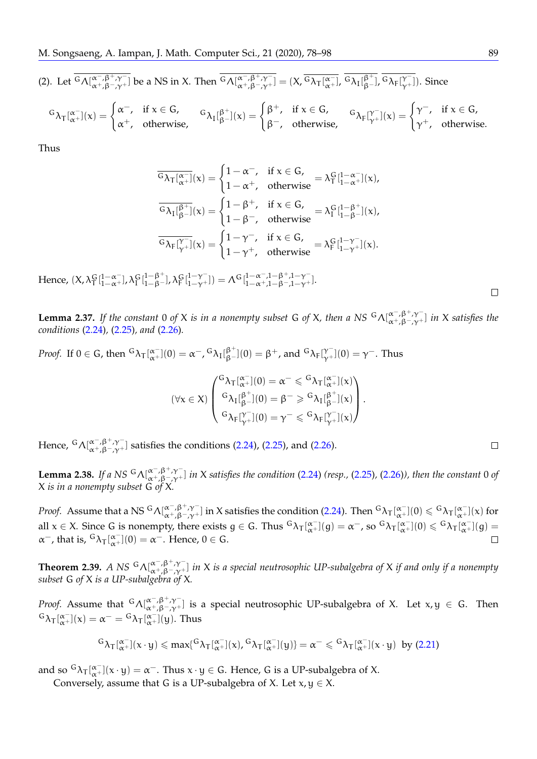(2). Let 
$$
\overline{G_{\Lambda[\alpha^-, \beta^-, \gamma^+]} }
$$
 be a NS in X. Then  $\overline{G_{\Lambda[\alpha^-, \beta^-, \gamma^+]} }$  =  $(X, \overline{G_{\lambda_{\tau}[\alpha^-]} }$ ,  $\overline{G_{\lambda_{\tau}[\beta^-, \gamma^+]} }$ ,  $\overline{G_{\lambda_{\tau}[\beta^-, \gamma^+]} }$ . Since

$$
^G\lambda_T[{}^{\alpha^-}_{\alpha^+}](x) = \begin{cases} \alpha^-, & \text{if } x \in G, \\ \alpha^+, & \text{otherwise,} \end{cases} \quad \, ^G\lambda_I[{}^{\beta^+}_{\beta^-}](x) = \begin{cases} \beta^+, & \text{if } x \in G, \\ \beta^-, & \text{otherwise,} \end{cases} \quad \, ^G\lambda_F[{}^{\gamma^-}_{\gamma^+}](x) = \begin{cases} \gamma^-, & \text{if } x \in G, \\ \gamma^+, & \text{otherwise.} \end{cases}
$$

Thus

$$
\overline{^G \lambda_T [\alpha^-_+]}(x) = \begin{cases} 1-\alpha^-, & \text{if } x \in G, \\ 1-\alpha^+, & \text{otherwise} \end{cases} = \lambda_T^G [\begin{matrix} 1-\alpha^-_+ \\ 1-\alpha^+ \end{matrix}](x), \\ \overline{^G \lambda_I [\beta^+]}(x) = \begin{cases} 1-\beta^+, & \text{if } x \in G, \\ 1-\beta^-, & \text{otherwise} \end{cases} = \lambda_I^G [\begin{matrix} 1-\beta^+ \\ 1-\beta^- \end{matrix}](x), \\ \overline{^G \lambda_F [\gamma^-_+]}(x) = \begin{cases} 1-\gamma^-, & \text{if } x \in G, \\ 1-\gamma^+, & \text{otherwise} \end{cases} = \lambda_F^G [\begin{matrix} 1-\gamma^-_+ \\ 1-\gamma^+ \end{matrix}](x).
$$

Hence,  $(X, \lambda_{\Gamma}^G[\frac{1-\alpha^-}{1-\alpha^+}], \lambda_{\Gamma}^G[\frac{1-\beta^+}{1-\beta^-}], \lambda_{\Gamma}^G[\frac{1-\gamma^-}{1-\gamma^+}]) = \Lambda^G[\frac{1-\alpha^-}{1-\alpha^+}, \frac{1-\beta^+}{1-\beta^-}, \frac{1-\gamma^-}{1-\gamma^+}].$ 

<span id="page-12-1"></span>**Lemma 2.37.** If the constant 0 of X is in a nonempty subset G of X, then a NS  ${}^G\Lambda[^{\alpha^-,\beta^+,\gamma^-}_{\alpha^+,\beta^-,\gamma^+}]$  in X satisfies the *conditions* [\(2.24\)](#page-6-0)*,* [\(2.25\)](#page-6-1)*, and* [\(2.26\)](#page-6-2)*.*

*Proof.* If  $0 \in G$ , then  ${}^G\lambda_T[\alpha^+](0) = \alpha^-$ ,  ${}^G\lambda_I[\beta^+](0) = \beta^+$ , and  ${}^G\lambda_F[\gamma^-](0) = \gamma^-$ . Thus

$$
(\forall x \in X) \begin{pmatrix} {^G}\lambda_T[{}^{\alpha^-}_{\alpha^+}](0) = \alpha^- \leqslant {^G}\lambda_T[{}^{\alpha^-}_{\alpha^+}](x) \\ {^G}\lambda_I[{}^{\beta^+}_{\beta^-}](0) = \beta^- \geqslant {^G}\lambda_I[{}^{\beta^+}_{\beta^-}](x) \\ {^G}\lambda_F[{}^{\gamma^-}_{\gamma^+}](0) = \gamma^- \leqslant {^G}\lambda_F[{}^{\gamma^-}_{\gamma^+}](x) \end{pmatrix}.
$$

Hence,  ${}^G\Lambda[\alpha^-, \beta^+, \gamma^-]$  satisfies the conditions [\(2.24\)](#page-6-0), [\(2.25\)](#page-6-1), and [\(2.26\)](#page-6-2).

<span id="page-12-0"></span>**Lemma 2.38.** If a NS  ${}^G\Lambda[^{\alpha^-,\beta^+,\gamma^-}_{\alpha^+,\beta^-, \gamma^+]}$  in X satisfies the condition [\(2.24\)](#page-6-0) (resp., [\(2.25\)](#page-6-1), [\(2.26\)](#page-6-2)), then the constant 0 of X *is in a nonempty subset* G *of* X*.*

*Proof.* Assume that a NS  ${}^G\Lambda[\alpha^-, \beta^+,\gamma^-]$  in X satisfies the condition [\(2.24\)](#page-6-0). Then  ${}^G\lambda_T[\alpha^-](0) \leqslant {}^G\lambda_T[\alpha^+](x)$  for all  $x \in X$ . Since G is nonempty, there exists  $g \in G$ . Thus  ${}^G\lambda_T[\alpha^-_x](g) = \alpha^-$ , so  ${}^G\lambda_T[\alpha^-_x](0) \leqslant {}^G\lambda_T[\alpha^-_x](g) =$  $\alpha^-$ , that is,  ${}^{\text{G}}\lambda_{\text{T}}\left[^{\alpha^-}_{{\alpha^+}}\right](0) = \alpha^-$ . Hence,  $0 \in \text{G}$ .  $\Box$ 

**Theorem 2.39.** *A NS* <sup>G</sup>Λ[α<sup>−</sup>,β<sup>+</sup>,γ<sup>−</sup>] *in X is a special neutrosophic UP-subalgebra of X if and only if a nonempty subset* G *of* X *is a UP-subalgebra of* X*.*

*Proof.* Assume that  ${}^G\Lambda[{}^{\alpha^-,\beta^+,\gamma^-}_{\alpha^+,\beta^-,\gamma^+}]$  is a special neutrosophic UP-subalgebra of X. Let  $x,y \in G$ . Then  ${}^{\mathsf{G}}\lambda_{\mathsf{T}}\left[ {}^{\alpha^-}_{{\alpha^+}} \right] (x) = \alpha^- = {}^{\mathsf{G}}\lambda_{\mathsf{T}}\left[ {}^{\alpha^-}_{{\alpha^+}} \right] (y)$ . Thus

$$
^G\lambda_T[\alpha^-_+] (x\cdot y) \leqslant \text{max} \{ ^G\lambda_T[\alpha^-_+](x) , {^G\lambda_T}[\alpha^+_-](y) \} = \alpha^- \leqslant {^G\lambda_T[\alpha^-_+](x\cdot y)} \ \ \text{by (2.21)}
$$

and so  ${}^G\lambda_T[{}^{\alpha^-}_{\alpha^+}](x \cdot y) = \alpha^-$ . Thus  $x \cdot y \in G$ . Hence, G is a UP-subalgebra of X.

Conversely, assume that G is a UP-subalgebra of X. Let  $x, y \in X$ .

 $\Box$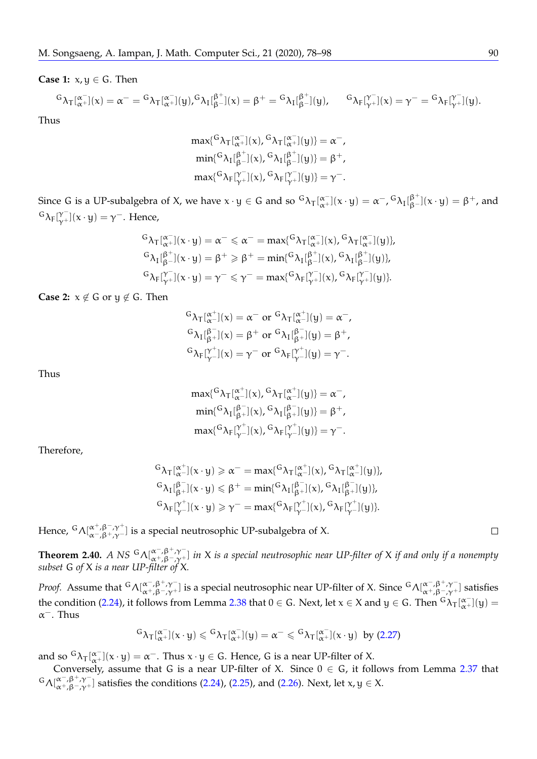**Case 1:**  $x, y \in G$ . Then

$$
{}^G\lambda_T[{}^{\alpha^-}_{\alpha^+}](x) = \alpha^- = {}^G\lambda_T[{}^{\alpha^-}_{\alpha^+}](y), {}^G\lambda_I[{}^{\beta^+}_{\beta^-}](x) = \beta^+ = {}^G\lambda_I[{}^{\beta^+}_{\beta^-}](y), \qquad {}^G\lambda_F[{}^{\gamma^-}_{\gamma^+}](x) = \gamma^- = {}^G\lambda_F[{}^{\gamma^-}_{\gamma^+}](y).
$$

Thus

$$
\begin{aligned}\n\max\{^G\lambda_T[\alpha_+^{\alpha-}](x),\,^G\lambda_T[\alpha_+^{\alpha-}](y)\} &= \alpha^-, \\
\min\{^G\lambda_I[\beta_+^{\beta+}](x),\,^G\lambda_I[\beta_+^{\beta-}](y)\} &= \beta^+, \\
\max\{^G\lambda_F[\gamma_+^{\gamma-}](x),\,^G\lambda_F[\gamma_+^{\gamma-}](y)\} &= \gamma^-. \\
\end{aligned}
$$

Since G is a UP-subalgebra of X, we have  $x \cdot y \in G$  and so  ${}^G\lambda_T[{}^{\alpha^-}_{\alpha^+}](x \cdot y) = \alpha^-$ ,  ${}^G\lambda_I[{}^{\beta^+}_{\beta^-}](x \cdot y) = \beta^+$ , and  ${}^{G}\lambda_{F}[\gamma^{-}_{\gamma+}](x \cdot y) = \gamma^{-}$ . Hence,

$$
\begin{aligned} &\mathsf{G}_{\lambda_{\mathsf{T}}}\!\left[^{\alpha^-}_{\alpha^+}\right]\!(x\cdot y)=\alpha^-\leqslant \alpha^-=\max\{^{G}\lambda_{\mathsf{T}}\!\left[^{\alpha^-}_{\alpha^+}\right]\!(x),{^G}\lambda_{\mathsf{T}}\!\left[^{\alpha^-}_{\alpha^+}\right]\!(y)\},\\ &\mathsf{G}_{\lambda_{\mathsf{T}}}\!\left[^{\beta^+}_{\beta^-}\right]\!(x\cdot y)=\beta^+\geqslant \beta^+=\min\{^{G}\lambda_{\mathsf{T}}\!\left[^{\beta^+}_{\beta^-}\right]\!(x),{^G}\lambda_{\mathsf{T}}\!\left[^{\beta^+}_{\beta^-}\right]\!(y)\},\\ &\mathsf{G}_{\lambda_{\mathsf{F}}}\!\left[^{\gamma^-}_{\gamma^+}\right]\!(x\cdot y)=\gamma^-\leqslant \gamma^-=\max\{^{G}\lambda_{\mathsf{F}}\!\left[^{\gamma^-}_{\gamma^+}\right]\!(x),{^G}\lambda_{\mathsf{F}}\!\left[^{\gamma^-}_{\gamma^+}\right]\!(y)\}. \end{aligned}
$$

**Case 2:**  $x \notin G$  or  $y \notin G$ . Then

$$
{}^G\lambda_T[{}^{\alpha^+}_{\alpha^-}](x) = \alpha^- \text{ or } {}^G\lambda_T[{}^{\alpha^+}_{\alpha^-}](y) = \alpha^-,
$$
  
\n
$$
{}^G\lambda_I[{}^{\beta^-}_{\beta^+}](x) = \beta^+ \text{ or } {}^G\lambda_I[{}^{\beta^-}_{\beta^+}](y) = \beta^+,
$$
  
\n
$$
{}^G\lambda_F[{}^{\gamma^+}_{\gamma^-}](x) = \gamma^- \text{ or } {}^G\lambda_F[{}^{\gamma^+}_{\gamma^-}](y) = \gamma^-.
$$

Thus

$$
\begin{aligned}\n\max\{^G\lambda_T[\alpha^+](x),^G\lambda_T[\alpha^+](y)\} &= \alpha^-, \\
\min\{^G\lambda_I[\beta^-](x),^G\lambda_I[\beta^-](y)\} &= \beta^+, \\
\max\{^G\lambda_F[\gamma^+](x),^G\lambda_F[\gamma^+](y)\} &= \gamma^-. \\
\end{aligned}
$$

Therefore,

$$
\begin{aligned} &\mathsf{G}_{\lambda_{\mathsf{T}}}[\alpha^+_{\alpha^-}](x\cdot y)\geqslant \alpha^-=\max\{^{G}_{\lambda_{\mathsf{T}}}[\alpha^+_{\alpha^-}](x),{^{G}_{\lambda_{\mathsf{T}}}[\alpha^+_{\alpha^-}]}(y)\},\\ &\mathsf{G}_{\lambda_{\mathsf{T}}}[\beta^-_{\beta^+}](x\cdot y)\leqslant \beta^+=\min\{^{G}_{\lambda_{\mathsf{T}}}[\beta^-_{\beta^+}](x),{^{G}_{\lambda_{\mathsf{T}}}[\beta^+_{\beta^+}]}(y)\},\\ &\mathsf{G}_{\lambda_{\mathsf{F}}}[\gamma^+_{\gamma^-}](x\cdot y)\geqslant \gamma^-=\max\{^{G}_{\lambda_{\mathsf{F}}}[\gamma^+_{\gamma^-}](x),{^{G}_{\lambda_{\mathsf{F}}}[\gamma^+_{\gamma^-}]}(y)\}. \end{aligned}
$$

Hence,  $^{\mathsf{G}}\Lambda[_{\alpha^-,\beta^+,\gamma^-}^{\alpha^+,\beta^-,\gamma^+}]$  is a special neutrosophic UP-subalgebra of X.

**Theorem 2.40.** *A NS* <sup>G</sup>Λ[α<sup>-</sup>,β<sup>+</sup>,γ<sup>-</sup>] *in X is a special neutrosophic near UP-filter of X if and only if a nonempty subset* G *of* X *is a near UP-filter of* X*.*

*Proof.* Assume that  ${}^G\Lambda[_{\alpha^+, \beta^-, \gamma^+}^{\alpha^-, \beta^+, \gamma^-} ]$  is a special neutrosophic near UP-filter of X. Since  ${}^G\Lambda[_{\alpha^+, \beta^-, \gamma^+}^{\alpha^-, \beta^+, \gamma^-} ]$  satisfies the condition [\(2.24\)](#page-6-0), it follows from Lemma [2.38](#page-12-0) that  $0 \in G$ . Next, let  $x \in X$  and  $y \in G$ . Then  ${}^G\lambda_T[{}^{\alpha^-}_{\alpha^+}](y) =$  $\alpha^-$ . Thus

$$
^G\lambda_T [\alpha^-_+] (x\cdot y) \leqslant {^G\lambda_T [\alpha^-_+] (y) = \alpha^- \leqslant {^G\lambda_T [\alpha^-_+] (x\cdot y) \;\; by} \; (2.27)
$$

and so  ${}^G\lambda_T[\alpha^-](x \cdot y) = \alpha^-$ . Thus  $x \cdot y \in G$ . Hence, G is a near UP-filter of X.

Conversely, assume that G is a near UP-filter of X. Since  $0 \in G$ , it follows from Lemma [2.37](#page-12-1) that  $G\Lambda[\alpha^-, \beta^+, \gamma^-]$  satisfies the conditions [\(2.24\)](#page-6-0), [\(2.25\)](#page-6-1), and [\(2.26\)](#page-6-2). Next, let  $x, y \in X$ .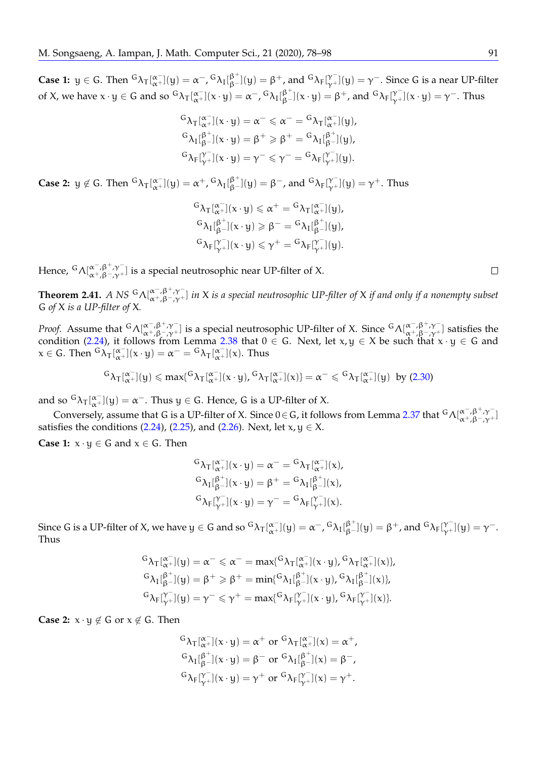**Case 1:**  $y \in G$ . Then  ${}^G\lambda_T[\alpha^-](y) = \alpha^-$ ,  ${}^G\lambda_I[\beta^+](y) = \beta^+$ , and  ${}^G\lambda_F[\gamma^-](y) = \gamma^-$ . Since G is a near UP-filter of X, we have  $x \cdot y \in G$  and so  ${}^G\lambda_T[\alpha^-](x \cdot y) = \alpha^-$ ,  ${}^G\lambda_I[\beta^+](x \cdot y) = \beta^+$ , and  ${}^G\lambda_F[\gamma^-](x \cdot y) = \gamma^-$ . Thus

$$
\begin{aligned}^G \lambda_T[\alpha_+^{\infty}](x \cdot y) &= \alpha^- \leqslant \alpha^- = {}^G \lambda_T[\alpha_+^{\infty}](y), \\^G \lambda_I[\beta_+^{\beta_+}](x \cdot y) &= \beta^+ \geqslant \beta^+ = {}^G \lambda_I[\beta_+^{\beta_+}](y), \\^G \lambda_F[\gamma_+^{\infty}](x \cdot y) &= \gamma^- \leqslant \gamma^- = {}^G \lambda_F[\gamma_+^{\infty}](y). \end{aligned}
$$

**Case 2:**  $y \notin G$ . Then  ${}^G\lambda_T[\alpha^-](y) = \alpha^+$ ,  ${}^G\lambda_I[\beta^+](y) = \beta^-$ , and  ${}^G\lambda_F[\gamma^-](y) = \gamma^+$ . Thus

$$
\begin{aligned} &\mathsf{G}_{\lambda_T}[\alpha_+^-[x\cdot y)] \leqslant \alpha^+=\mathsf{G}_{\lambda_T}[\alpha_+^-[y],\\ &\mathsf{G}_{\lambda_I}[\beta_+^{\beta^+}](x\cdot y) \geqslant \beta^-=\mathsf{G}_{\lambda_I}[\beta_+^{\beta^+}](y),\\ &\mathsf{G}_{\lambda_F}[\gamma_+^-[x\cdot y)] \leqslant \gamma^+=\mathsf{G}_{\lambda_F}[\gamma_+^-[y]. \end{aligned}
$$

Hence,  $^G\Lambda[{}^{\alpha^-,\beta^+,\gamma^-}_{\alpha^+,\beta^-\gamma^+}]$  is a special neutrosophic near UP-filter of X.

**Theorem 2.41.** *A NS*  ${}^G\Lambda[\alpha^-, \beta^+, \gamma^-]$  *in* X *is a special neutrosophic UP-filter of* X *if and only if a nonempty subset* G *of* X *is a UP-filter of* X*.*

*Proof.* Assume that  ${}^G\Lambda[_{\alpha+\beta-\gamma+}^{\alpha-\beta+\gamma-}]$  is a special neutrosophic UP-filter of X. Since  ${}^G\Lambda[_{\alpha+\beta-\gamma+}^{\alpha-\beta+\gamma-}]$  satisfies the condition [\(2.24\)](#page-6-0), it follows from Lemma [2.38](#page-12-0) that  $0 \in G$ . Next, let  $x, y \in X$  be such that  $x \cdot y \in G$  and  $x \in G$ . Then  ${}^{G}\lambda_{T}[^{\alpha^{-}}_{\alpha^{+}}](x \cdot y) = \alpha^{-} = {}^{G}\lambda_{T}[^{\alpha^{-}}_{\alpha^{+}}](x)$ . Thus

$$
^G\lambda_T [\alpha^-_+(y) \leqslant \text{max} \{ ^G\lambda_T [\alpha^-_+(x\cdot y) , ^G\lambda_T [\alpha^-_+(x)] \} = \alpha^- \leqslant {}^G\lambda_T [\alpha^-_+(y) \ \ \text{by (2.30)}
$$

and so  ${}^G\lambda_T[{}^{\alpha^-}_{\alpha^+}](y) = \alpha^-$ . Thus  $y \in G$ . Hence, G is a UP-filter of X.

Conversely, assume that G is a UP-filter of X. Since 0 ∈ G, it follows from Lemma [2.37](#page-12-1) that  ${}^G\Lambda[_{\alpha^+,\beta^-,\gamma^+}^{\alpha^-,\beta^+,\gamma^-}]$ satisfies the conditions [\(2.24\)](#page-6-0), [\(2.25\)](#page-6-1), and [\(2.26\)](#page-6-2). Next, let  $x, y \in X$ .

**Case 1:**  $x \cdot y \in G$  and  $x \in G$ . Then

$$
{}^G\lambda_T[{}^{\alpha^-}_{\alpha^+}](x \cdot y) = \alpha^- = {}^G\lambda_T[{}^{\alpha^-}_{\alpha^+}](x),
$$
  
\n
$$
{}^G\lambda_I[{}^{\beta^+}_{\beta^-}](x \cdot y) = \beta^+ = {}^G\lambda_I[{}^{\beta^+}_{\beta^-}](x),
$$
  
\n
$$
{}^G\lambda_F[{}^{\gamma^-}_{\gamma^+}](x \cdot y) = \gamma^- = {}^G\lambda_F[{}^{\gamma^-}_{\gamma^+}](x).
$$

Since G is a UP-filter of X, we have  $y\in G$  and so  ${}^G\lambda_T[{}^{\alpha^-}_{\alpha^+}](y)=\alpha^-$ ,  ${}^G\lambda_I[{}^{\beta^+}_{\beta^-}](y)=\beta^+$ , and  ${}^G\lambda_F[{}^{\gamma^-}_{\gamma^+}](y)=\gamma^-$ . Thus

$$
\begin{aligned} &{^G\lambda_\mathsf{T}[\alpha^-_+](y) = \alpha^- \leqslant \alpha^- = \max\{{^G\lambda_\mathsf{T}[\alpha^-_+](x \cdot y), {^G\lambda_\mathsf{T}[\alpha^-_+](x)}\},}\\ &{^G\lambda_\mathsf{I}[\beta^+_{\beta^-}](y) = \beta^+ \geqslant \beta^+ = \min\{{^G\lambda_\mathsf{I}[\beta^+_{\beta^-}](x \cdot y), {^G\lambda_\mathsf{I}[\beta^+_{\beta^-}](x)}\},}\\ &{^G\lambda_\mathsf{F}[\gamma^-_+](y) = \gamma^- \leqslant \gamma^+ = \max\{{^G\lambda_\mathsf{F}[\gamma^-_+](x \cdot y), {^G\lambda_\mathsf{F}[\gamma^-_+](x)}\}}. \end{aligned}
$$

**Case 2:**  $x \cdot y \notin G$  or  $x \notin G$ . Then

$$
{}^G\lambda_T[{}^{\alpha^-}_{\alpha^+}](x \cdot y) = \alpha^+ \text{ or } {}^G\lambda_T[{}^{\alpha^-}_{\alpha^+}](x) = \alpha^+,
$$
  
\n
$$
{}^G\lambda_I[{}^{\beta^+}_{\beta^-}](x \cdot y) = \beta^- \text{ or } {}^G\lambda_I[{}^{\beta^+}_{\beta^-}](x) = \beta^-,
$$
  
\n
$$
{}^G\lambda_F[{}^{\gamma^-}_{\gamma^+}](x \cdot y) = \gamma^+ \text{ or } {}^G\lambda_F[{}^{\gamma^-}_{\gamma^+}](x) = \gamma^+.
$$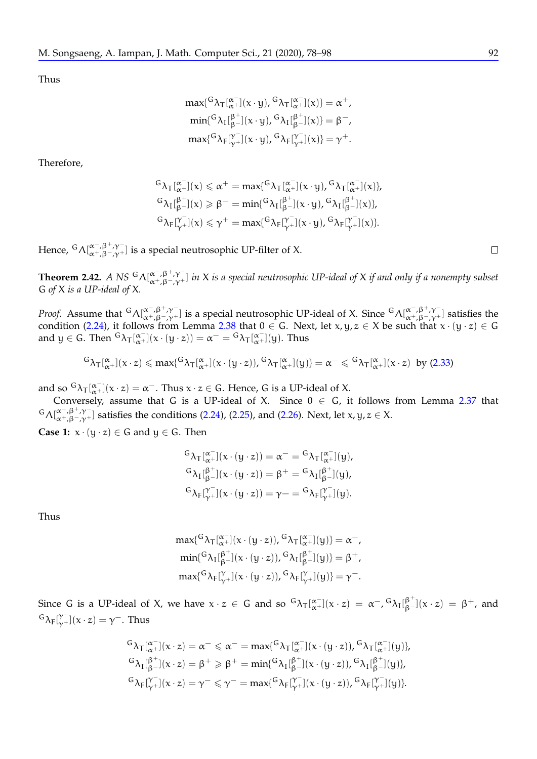Thus

$$
\begin{aligned} \max\{^G\lambda_T[\alpha^-_+(x\cdot y),^G\lambda_T[\alpha^+_+(x)] = \alpha^+,\\ \min\{^G\lambda_I[\beta^+_+(x\cdot y),^G\lambda_I[\beta^+_-(x)] = \beta^-,\\ \max\{^G\lambda_F[\gamma^+_+(x\cdot y),^G\lambda_F[\gamma^+_+(x)] = \gamma^+. \end{aligned}
$$

Therefore,

$$
\begin{aligned} &\mathsf{G}_{\lambda_{\mathsf{T}}}[\overset{\alpha^{-}}{\alpha^{+}}](x)\leqslant \alpha^{+}=\text{max}\{^{G}\lambda_{\mathsf{T}}[\overset{\alpha^{-}}{\alpha^{+}}](x\cdot y),{^{G}\lambda_{\mathsf{T}}}[\overset{\alpha^{-}}{\alpha^{+}}](x)\},\\ &\mathsf{G}_{\lambda_{\mathsf{T}}}[\overset{\beta^{+}}{\beta^{-}}](x)\geqslant \beta^{-}=\text{min}\{^{G}\lambda_{\mathsf{T}}[\overset{\beta^{+}}{\beta^{-}}](x\cdot y),{^{G}\lambda_{\mathsf{T}}}[\overset{\beta^{+}}{\beta^{-}}](x)\},\\ &\mathsf{G}_{\lambda_{\mathsf{F}}}[\overset{\gamma^{-}}{\gamma^{+}}](x)\leqslant \gamma^{+}=\text{max}\{^{G}\lambda_{\mathsf{F}}[\overset{\gamma^{-}}{\gamma^{-}}](x\cdot y),{^{G}\lambda_{\mathsf{F}}}[\overset{\gamma^{-}}{\gamma^{-}}](x)\}. \end{aligned}
$$

Hence,  ${}^G\Lambda[_{\alpha^+, \beta^-, \gamma^+}^{\alpha^-, \beta^+, \gamma^-}]$  is a special neutrosophic UP-filter of X.

**Theorem 2.42.** *A NS* <sup>G</sup>  $\Lambda[\alpha^-, \beta^+, \gamma^-]$  *in X is a special neutrosophic UP-ideal of X if and only if a nonempty subset* G *of* X *is a UP-ideal of* X*.*

*Proof.* Assume that  ${}^G\Lambda[_{\alpha^+,\beta^-, \gamma^+}^{\alpha^-,\beta^+, \gamma^-}]$  is a special neutrosophic UP-ideal of X. Since  ${}^G\Lambda[_{\alpha^+,\beta^-, \gamma^+}^{\alpha^-,\beta^+, \gamma^-}]$  satisfies the condition [\(2.24\)](#page-6-0), it follows from Lemma [2.38](#page-12-0) that  $0 \in G$ . Next, let  $x, y, z \in X$  be such that  $x \cdot (y \cdot z) \in G$ and  $y \in G$ . Then  ${}^{G}\lambda_{T}[^{\alpha^{-}}_{\alpha^{+}}](x \cdot (y \cdot z)) = \alpha^{-} = {}^{G}\lambda_{T}[^{\alpha^{-}}_{\alpha^{+}}](y)$ . Thus

$$
^G\lambda_T[\alpha^-_+](x\cdot z)\leqslant max\{^G\lambda_T[\alpha^-_+](x\cdot (y\cdot z)), {^G\lambda_T[\alpha^-_+](y)}\}=\alpha^-\leqslant {^G\lambda_T[\alpha^-_+](x\cdot z)}\ \, by\,\, (2.33)
$$

and so  ${}^G\lambda_T[{}^{\alpha^-}_{\alpha^+}](x \cdot z) = \alpha^-$ . Thus  $x \cdot z \in G$ . Hence, G is a UP-ideal of X.

Conversely, assume that G is a UP-ideal of X. Since  $0 \in G$ , it follows from Lemma [2.37](#page-12-1) that  $G\Lambda[\alpha^-, \beta^+, \gamma^-]$  satisfies the conditions [\(2.24\)](#page-6-0), [\(2.25\)](#page-6-1), and [\(2.26\)](#page-6-2). Next, let x, y,  $z \in X$ .

**Case 1:**  $x \cdot (y \cdot z) \in G$  and  $y \in G$ . Then

$$
\begin{aligned}\n^G \lambda_T[&_{\alpha^+}^{\alpha^-}](x \cdot (y \cdot z)) = \alpha^- = {}^G \lambda_T[{}^{\alpha^-}_{\alpha^+}](y), \\
^G \lambda_I[{}^{\beta^+}_{\beta^-}](x \cdot (y \cdot z)) &= \beta^+ = {}^G \lambda_I[{}^{\beta^+}_{\beta^-}](y), \\
^G \lambda_F[{}^{\gamma^-}_{\gamma^+}](x \cdot (y \cdot z)) &= \gamma - {}^G \lambda_F[{}^{\gamma^-}_{\gamma^+}](y).\n\end{aligned}
$$

Thus

$$
\begin{aligned}\label{eq:2} &\text{max}\{^G\lambda_T[\alpha^-_x](x\cdot (y\cdot z)),^G\lambda_T[\alpha^-_x](y)\}=\alpha^-,\\ &\text{min}\{^G\lambda_I[\beta^+_{\beta^-}](x\cdot (y\cdot z)),^G\lambda_I[\beta^+_{\beta^-}](y)\}=\beta^+,\\ &\text{max}\{^G\lambda_F[\gamma^-_x](x\cdot (y\cdot z)),^G\lambda_F[\gamma^-_x](y)\}=\gamma^-. \end{aligned}
$$

Since G is a UP-ideal of X, we have  $x \cdot z \in G$  and so  ${}^G\lambda_T[\alpha^-](x \cdot z) = \alpha^-$ ,  ${}^G\lambda_I[\beta^+_\beta](x \cdot z) = \beta^+$ , and  ${}^{\mathsf{G}}\lambda_{\mathsf{F}}[\gamma_{+}^{\mathsf{F}}](x \cdot z) = \gamma^{-}$ . Thus

$$
\begin{aligned} &\mathsf{G}_{\pmb{\lambda}_{\pmb{\Upsilon}}}[\alpha^-_{{\pmb{\alpha}}^\perp}] (x \cdot z) = \alpha^- \leqslant \alpha^- = \text{max}\{\mathsf{G}_{\pmb{\lambda}_{\pmb{\Upsilon}}}[\alpha^+_{{\pmb{\alpha}}^\perp}] (x \cdot (y \cdot z)), \mathsf{G}_{\pmb{\lambda}_{\pmb{\Upsilon}}}[\alpha^-_{{\pmb{\alpha}}^\perp}] (y)\}, \\ &\mathsf{G}_{\pmb{\lambda}_{\pmb{\Upsilon}}}[\beta^+_{{\pmb{\beta}}^\perp}] (x \cdot z) = \beta^+ \geqslant \beta^+ = \text{min}\{\mathsf{G}_{\pmb{\lambda}_{\pmb{\Upsilon}}}[\beta^+_{{\pmb{\beta}}^\perp}] (x \cdot (y \cdot z)), \mathsf{G}_{\pmb{\lambda}_{\pmb{\Upsilon}}}[\beta^+_{{\pmb{\beta}}^\perp}] (y)\}, \\ &\mathsf{G}_{\pmb{\lambda}_{\pmb{\Gamma}}}[\gamma^-_{{\pmb{\gamma}}^\perp}] (x \cdot z) = \gamma^- \leqslant \gamma^- = \text{max}\{\mathsf{G}_{\pmb{\lambda}_{\pmb{\Gamma}}}[\gamma^-_{{\pmb{\gamma}}^\perp}] (x \cdot (y \cdot z)), \mathsf{G}_{\pmb{\lambda}_{\pmb{\Gamma}}}[\gamma^+_{{\pmb{\gamma}}^\perp}] (y)\}. \end{aligned}
$$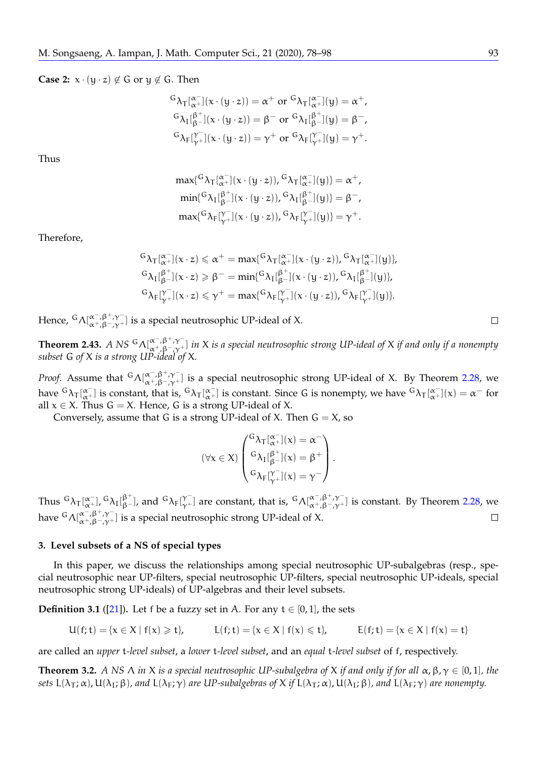# **Case 2:**  $x \cdot (y \cdot z) \notin G$  or  $y \notin G$ . Then

$$
\begin{aligned} &\mathsf{G}_{\lambda_T}[\alpha_+^{\mathsf{C}}](x\cdot (y\cdot z)) = \alpha^+ \text{ or } \mathsf{G}_{\lambda_T}[\alpha_+^{\mathsf{C}}](y) = \alpha^+,\\ &\mathsf{G}_{\lambda_I}[\beta_+^{\beta-}](x\cdot (y\cdot z)) = \beta^- \text{ or } \mathsf{G}_{\lambda_I}[\beta_+^{\beta+}](y) = \beta^-,\\ &\mathsf{G}_{\lambda_F}[\gamma_+^{\mathsf{C}}](x\cdot (y\cdot z)) = \gamma^+ \text{ or } \mathsf{G}_{\lambda_F}[\gamma_+^{\mathsf{C}}](y) = \gamma^+.\end{aligned}
$$

Thus

$$
\begin{aligned} & \max\{ {}^G \lambda_T[{}^{\alpha^-}_{\alpha^+}](x\cdot (y\cdot z)), {}^G \lambda_T[{}^{\alpha^-}_{\alpha^+}](y)\}=\alpha^+,\\ & \min\{ {}^G \lambda_I[{}^{\beta^+}_{\beta^-}](x\cdot (y\cdot z)), {}^G \lambda_I[{}^{\beta^+}_{\beta^-}](y)\}=\beta^-,\\ & \max\{ {}^G \lambda_F[{}^{\gamma^-}_{\gamma^+}](x\cdot (y\cdot z)), {}^G \lambda_F[{}^{\gamma^-}_{\gamma^+}](y)\}=\gamma^+. \end{aligned}
$$

Therefore,

$$
\begin{aligned} &\mathsf{G}_{\lambda_{\mathsf{T}}}\!\big[{}^{\alpha^-}_{\alpha^+}\!\big](x \cdot z) \leqslant \alpha^+ = \max\{{}^{\mathsf{G}}\lambda_{\mathsf{T}}\!\big[{}^{\alpha^-}_{\alpha^+}\!\big](x \cdot (y \cdot z)),{}^{\mathsf{G}}\lambda_{\mathsf{T}}\!\big[{}^{\alpha^-}_{\alpha^+}\!\big](y)\},\\ &\mathsf{G}_{\lambda_{\mathsf{T}}}\!\big[{}^{\beta^+}_{\beta^-}\!\big](x \cdot z) \geqslant \beta^- = \min\{{}^{\mathsf{G}}\lambda_{\mathsf{T}}\!\big[{}^{\beta^+}_{\beta^-}\!\big](x \cdot (y \cdot z)),{}^{\mathsf{G}}\lambda_{\mathsf{T}}\!\big[{}^{\beta^+}_{\beta^-}\!\big](y)\},\\ &\mathsf{G}_{\lambda_{\mathsf{F}}}\!\big[{}^{\gamma^-}_{\gamma^+}\!\big](x \cdot z) \leqslant \gamma^+ = \max\{{}^{\mathsf{G}}\lambda_{\mathsf{F}}\!\big[{}^{\gamma^-}_{\gamma^+}\!\big](x \cdot (y \cdot z)),{}^{\mathsf{G}}\lambda_{\mathsf{F}}\!\big[{}^{\gamma^-}_{\gamma^+}\!\big](y)\}. \end{aligned}
$$

Hence,  ${}^G\Lambda[{}^{\alpha^-,\beta^+,\gamma^-}_{\alpha^+,\beta^-,\gamma^+}]$  is a special neutrosophic UP-ideal of X.

**Theorem 2.43.** *A NS* <sup>G</sup>Λ[ $α^{-, β^{+}, γ^{-}}$ ] *in X is a special neutrosophic strong UP-ideal of X if and only if a nonempty subset* G *of* X *is a strong UP-ideal of* X*.*

*Proof.* Assume that  ${}^G\Lambda|_{\alpha+,\beta-,\gamma+}^{\alpha-,\beta+,\gamma-}$  is a special neutrosophic strong UP-ideal of X. By Theorem [2.28,](#page-8-5) we have  ${}^G\lambda_T[{}^{\alpha^-}_{\alpha^+}]$  is constant, that is,  ${}^G\lambda_T[{}^{\alpha^-}_{\alpha^+}]$  is constant. Since G is nonempty, we have  ${}^G\lambda_T[{}^{\alpha^-}_{\alpha^+}](x) = \alpha^-$  for all  $x \in X$ . Thus  $G = X$ . Hence, G is a strong UP-ideal of X.

Conversely, assume that G is a strong UP-ideal of X. Then  $G = X$ , so

$$
(\forall x \in X) \begin{pmatrix} {^G}\lambda_T[{}^{\alpha^-}_{\alpha^+}](x) = \alpha^- \\ {^G}\lambda_I[{}^{\beta^+}_{\beta^-}](x) = \beta^+ \\ {^G}\lambda_F[{}^{\gamma^-}_{\gamma^+}](x) = \gamma^- \end{pmatrix}.
$$

Thus  ${}^G\lambda_T[\alpha^-_\alpha]$ ,  ${}^G\lambda_I[\beta^+_\beta]$ , and  ${}^G\lambda_F[\gamma^-_\gamma]$  are constant, that is,  ${}^G\Lambda[\alpha^-_\gamma\beta^+\gamma^-_\gamma]$  is constant. By Theorem [2.28,](#page-8-5) we have  $^G\Lambda[{}^{\alpha^-,\beta^+,\gamma^-}_{\alpha^+,\beta^-,\gamma^+}]$  is a special neutrosophic strong UP-ideal of X.  $\Box$ 

#### **3. Level subsets of a NS of special types**

In this paper, we discuss the relationships among special neutrosophic UP-subalgebras (resp., special neutrosophic near UP-filters, special neutrosophic UP-filters, special neutrosophic UP-ideals, special neutrosophic strong UP-ideals) of UP-algebras and their level subsets.

<span id="page-16-1"></span>**Definition 3.1** ([\[21\]](#page-21-11)). Let f be a fuzzy set in A. For any  $t \in [0, 1]$ , the sets

$$
U(f;t)=\{x\in X\mid f(x)\geqslant t\},\hspace{1cm} L(f;t)=\{x\in X\mid f(x)\leqslant t\},\hspace{1cm} E(f;t)=\{x\in X\mid f(x)=t\}
$$

are called an *upper* t*-level subset*, a *lower* t*-level subset*, and an *equal* t*-level subset* of f, respectively.

<span id="page-16-0"></span>**Theorem 3.2.** *A NS*  $\Lambda$  *in*  $X$  *is a special neutrosophic UP-subalgebra of*  $X$  *if and only if for all*  $\alpha$ ,  $\beta$ ,  $\gamma \in [0,1]$ *, the sets*  $L(\lambda_T; \alpha)$ ,  $U(\lambda_I; \beta)$ , and  $L(\lambda_F; \gamma)$  *are UP-subalgebras of* X *if*  $L(\lambda_T; \alpha)$ ,  $U(\lambda_I; \beta)$ , and  $L(\lambda_F; \gamma)$  *are nonempty.*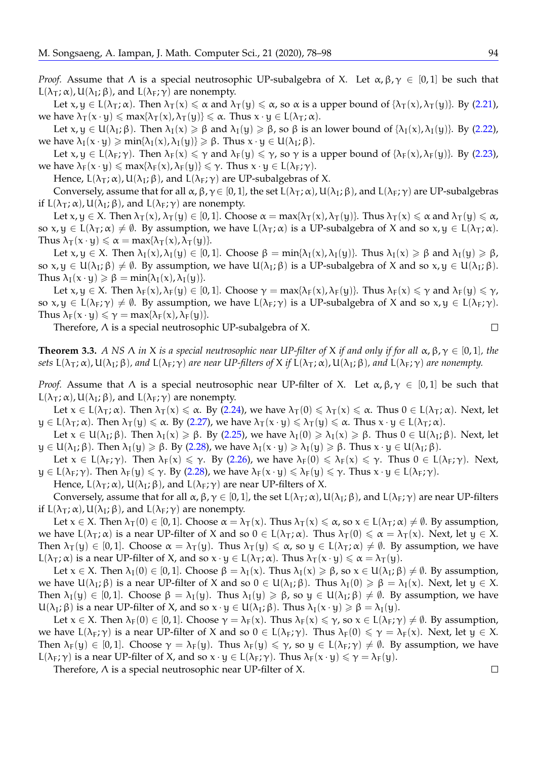*Proof.* Assume that  $\Lambda$  is a special neutrosophic UP-subalgebra of X. Let  $\alpha, \beta, \gamma \in [0, 1]$  be such that L( $λ$ <sub>T</sub>;  $α$ ), U( $λ$ <sub>I</sub>;  $β$ ), and L( $λ$ <sub>F</sub>;  $γ$ ) are nonempty.

Let  $x, y \in L(\lambda_T; \alpha)$ . Then  $\lambda_T(x) \leq \alpha$  and  $\lambda_T(y) \leq \alpha$ , so  $\alpha$  is a upper bound of  $\{\lambda_T(x), \lambda_T(y)\}$ . By [\(2.21\)](#page-5-3), we have  $\lambda_{\mathsf{T}}(x \cdot y) \leq \max\{\lambda_{\mathsf{T}}(x), \lambda_{\mathsf{T}}(y)\} \leq \alpha$ . Thus  $x \cdot y \in L(\lambda_{\mathsf{T}}; \alpha)$ .

Let  $x, y \in U(\lambda_I; \beta)$ . Then  $\lambda_I(x) \geq \beta$  and  $\lambda_I(y) \geq \beta$ , so  $\beta$  is an lower bound of  $\{\lambda_I(x), \lambda_I(y)\}$ . By [\(2.22\)](#page-5-4), we have  $\lambda_I(x \cdot y) \ge \min\{\lambda_I(x), \lambda_I(y)\} \ge \beta$ . Thus  $x \cdot y \in U(\lambda_I; \beta)$ .

Let  $x, y \in L(\lambda_F; \gamma)$ . Then  $\lambda_F(x) \leq \gamma$  and  $\lambda_F(y) \leq \gamma$ , so  $\gamma$  is a upper bound of  $\{\lambda_F(x), \lambda_F(y)\}$ . By [\(2.23\)](#page-5-5), we have  $\lambda_F(x \cdot y) \le \max{\lambda_F(x), \lambda_F(y)} \le \gamma$ . Thus  $x \cdot y \in L(\lambda_F; \gamma)$ .

Hence,  $L(\lambda_T; \alpha)$ ,  $U(\lambda_I; \beta)$ , and  $L(\lambda_F; \gamma)$  are UP-subalgebras of X.

Conversely, assume that for all  $\alpha$ ,  $\beta$ ,  $\gamma \in [0,1]$ , the set  $L(\lambda_T; \alpha)$ ,  $U(\lambda_I; \beta)$ , and  $L(\lambda_F; \gamma)$  are UP-subalgebras if  $L(\lambda_T; \alpha)$ ,  $U(\lambda_L; \beta)$ , and  $L(\lambda_F; \gamma)$  are nonempty.

Let  $x, y \in X$ . Then  $\lambda_{\tau}(x), \lambda_{\tau}(y) \in [0, 1]$ . Choose  $\alpha = \max{\lambda_{\tau}(x), \lambda_{\tau}(y)}$ . Thus  $\lambda_{\tau}(x) \leq \alpha$  and  $\lambda_{\tau}(y) \leq \alpha$ , so  $x, y \in L(\lambda_T; \alpha) \neq \emptyset$ . By assumption, we have  $L(\lambda_T; \alpha)$  is a UP-subalgebra of X and so  $x, y \in L(\lambda_T; \alpha)$ . Thus  $\lambda_{\mathsf{T}}(x \cdot y) \leq \alpha = \max{\lambda_{\mathsf{T}}(x), \lambda_{\mathsf{T}}(y)}$ .

Let  $x, y \in X$ . Then  $\lambda_I(x), \lambda_I(y) \in [0, 1]$ . Choose  $\beta = \min{\lambda_I(x), \lambda_I(y)}$ . Thus  $\lambda_I(x) \geq \beta$  and  $\lambda_I(y) \geq \beta$ , so  $x, y \in U(\lambda_1; \beta) \neq \emptyset$ . By assumption, we have  $U(\lambda_1; \beta)$  is a UP-subalgebra of X and so  $x, y \in U(\lambda_1; \beta)$ . Thus  $\lambda_I(x \cdot y) \geq \beta = \min\{\lambda_I(x), \lambda_I(y)\}.$ 

Let  $x, y \in X$ . Then  $\lambda_F(x), \lambda_F(y) \in [0, 1]$ . Choose  $\gamma = \max{\lambda_F(x), \lambda_F(y)}$ . Thus  $\lambda_F(x) \leq \gamma$  and  $\lambda_F(y) \leq \gamma$ , so  $x, y \in L(\lambda_F; \gamma) \neq \emptyset$ . By assumption, we have  $L(\lambda_F; \gamma)$  is a UP-subalgebra of X and so  $x, y \in L(\lambda_F; \gamma)$ . Thus  $\lambda_F(x \cdot y) \leq \gamma = \max{\lambda_F(x), \lambda_F(y)}$ .

Therefore, Λ is a special neutrosophic UP-subalgebra of X.

<span id="page-17-0"></span>**Theorem 3.3.** *A NS*  $\Lambda$  *in*  $X$  *is a special neutrosophic near UP-filter of*  $X$  *if and only if for all*  $\alpha$ ,  $\beta$ ,  $\gamma \in [0,1]$ *, the sets*  $L(\lambda_T; \alpha)$ ,  $U(\lambda_I; \beta)$ , and  $L(\lambda_F; \gamma)$  are near UP-filters of X if  $L(\lambda_T; \alpha)$ ,  $U(\lambda_I; \beta)$ , and  $L(\lambda_F; \gamma)$  are nonempty.

*Proof.* Assume that  $\Lambda$  is a special neutrosophic near UP-filter of X. Let  $\alpha, \beta, \gamma \in [0,1]$  be such that L( $λ$ <sub>T</sub>;  $α$ ), U( $λ$ <sub>I</sub>;  $β$ ), and L( $λ$ <sub>F</sub>;  $γ$ ) are nonempty.

Let  $x \in L(\lambda_T; \alpha)$ . Then  $\lambda_T(x) \leq \alpha$ . By [\(2.24\)](#page-6-0), we have  $\lambda_T(0) \leq \lambda_T(x) \leq \alpha$ . Thus  $0 \in L(\lambda_T; \alpha)$ . Next, let  $y \in L(\lambda_T; \alpha)$ . Then  $\lambda_T(y) \leq \alpha$ . By [\(2.27\)](#page-6-4), we have  $\lambda_T(x \cdot y) \leq \lambda_T(y) \leq \alpha$ . Thus  $x \cdot y \in L(\lambda_T; \alpha)$ .

Let  $x \in U(\lambda_I;\beta)$ . Then  $\lambda_I(x) \geq \beta$ . By [\(2.25\)](#page-6-1), we have  $\lambda_I(0) \geq \lambda_I(x) \geq \beta$ . Thus  $0 \in U(\lambda_I;\beta)$ . Next, let  $y \in U(\lambda_I;\beta)$ . Then  $\lambda_I(y) \geq \beta$ . By [\(2.28\)](#page-6-3), we have  $\lambda_I(x \cdot y) \geq \lambda_I(y) \geq \beta$ . Thus  $x \cdot y \in U(\lambda_I;\beta)$ .

Let  $x \in L(\lambda_F; \gamma)$ . Then  $\lambda_F(x) \leq \gamma$ . By [\(2.26\)](#page-6-2), we have  $\lambda_F(0) \leq \lambda_F(x) \leq \gamma$ . Thus  $0 \in L(\lambda_F; \gamma)$ . Next,  $y \in L(\lambda_F; \gamma)$ . Then  $\lambda_F(y) \leq \gamma$ . By [\(2.28\)](#page-6-3), we have  $\lambda_F(x \cdot y) \leq \lambda_F(y) \leq \gamma$ . Thus  $x \cdot y \in L(\lambda_F; \gamma)$ .

Hence,  $L(\lambda_T; \alpha)$ ,  $U(\lambda_I; \beta)$ , and  $L(\lambda_F; \gamma)$  are near UP-filters of X.

Conversely, assume that for all  $\alpha, \beta, \gamma \in [0, 1]$ , the set  $L(\lambda_T; \alpha)$ ,  $U(\lambda_I; \beta)$ , and  $L(\lambda_F; \gamma)$  are near UP-filters if  $L(\lambda_T; \alpha)$ ,  $U(\lambda_I; \beta)$ , and  $L(\lambda_F; \gamma)$  are nonempty.

Let  $x \in X$ . Then  $\lambda_{\tau}(0) \in [0, 1]$ . Choose  $\alpha = \lambda_{\tau}(x)$ . Thus  $\lambda_{\tau}(x) \leq \alpha$ , so  $x \in L(\lambda_{\tau}; \alpha) \neq \emptyset$ . By assumption, we have  $L(\lambda_T; \alpha)$  is a near UP-filter of X and so  $0 \in L(\lambda_T; \alpha)$ . Thus  $\lambda_T(0) \leq \alpha = \lambda_T(x)$ . Next, let  $y \in X$ . Then  $\lambda_{\Gamma}(y) \in [0,1]$ . Choose  $\alpha = \lambda_{\Gamma}(y)$ . Thus  $\lambda_{\Gamma}(y) \leq \alpha$ , so  $y \in L(\lambda_{\Gamma}; \alpha) \neq \emptyset$ . By assumption, we have  $L(\lambda_T; \alpha)$  is a near UP-filter of X, and so  $x \cdot y \in L(\lambda_T; \alpha)$ . Thus  $\lambda_T(x \cdot y) \le \alpha = \lambda_T(y)$ .

Let  $x \in X$ . Then  $\lambda_I(0) \in [0,1]$ . Choose  $\beta = \lambda_I(x)$ . Thus  $\lambda_I(x) \ge \beta$ , so  $x \in U(\lambda_I;\beta) \ne \emptyset$ . By assumption, we have  $U(\lambda_I;\beta)$  is a near UP-filter of X and so  $0 \in U(\lambda_I;\beta)$ . Thus  $\lambda_I(0) \geq \beta = \lambda_I(x)$ . Next, let  $y \in X$ . Then  $\lambda_I(y) \in [0,1]$ . Choose  $\beta = \lambda_I(y)$ . Thus  $\lambda_I(y) \geq \beta$ , so  $y \in U(\lambda_I;\beta) \neq \emptyset$ . By assumption, we have U(λ<sub>I</sub>; β) is a near UP-filter of X, and so x ⋅ y ∈ U(λ<sub>I</sub>; β). Thus  $\lambda_1(x \cdot y) \geq \beta = \lambda_1(y)$ .

Let  $x \in X$ . Then  $\lambda_F(0) \in [0,1]$ . Choose  $\gamma = \lambda_F(x)$ . Thus  $\lambda_F(x) \leq \gamma$ , so  $x \in L(\lambda_F; \gamma) \neq \emptyset$ . By assumption, we have  $L(\lambda_F; \gamma)$  is a near UP-filter of X and so  $0 \in L(\lambda_F; \gamma)$ . Thus  $\lambda_F(0) \leq \gamma = \lambda_F(\chi)$ . Next, let  $y \in X$ . Then  $\lambda_F(y) \in [0,1]$ . Choose  $\gamma = \lambda_F(y)$ . Thus  $\lambda_F(y) \leq \gamma$ , so  $y \in L(\lambda_F;\gamma) \neq \emptyset$ . By assumption, we have  $L(\lambda_F; \gamma)$  is a near UP-filter of X, and so  $x \cdot y \in L(\lambda_F; \gamma)$ . Thus  $\lambda_F(x \cdot y) \le \gamma = \lambda_F(y)$ .

Therefore,  $\Lambda$  is a special neutrosophic near UP-filter of X.

 $\Box$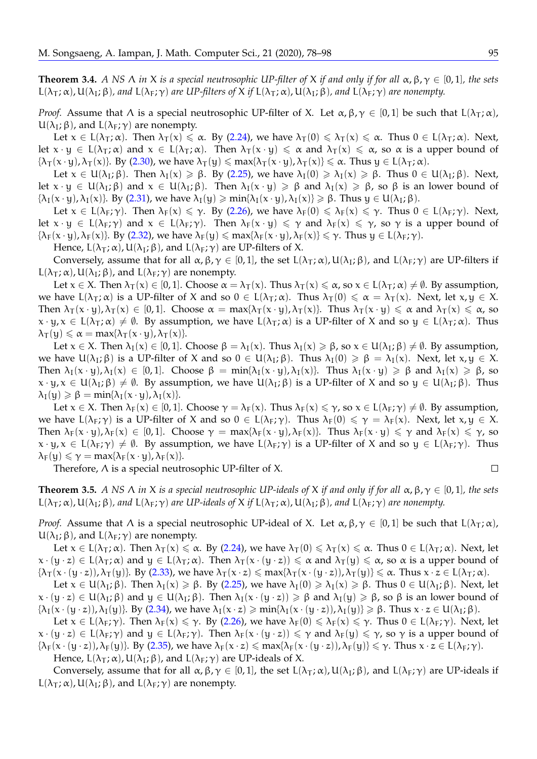<span id="page-18-0"></span>**Theorem 3.4.** *A NS*  $\Lambda$  *in*  $X$  *is a special neutrosophic UP-filter of*  $X$  *if and only if for all*  $\alpha$ ,  $\beta$ ,  $\gamma \in [0,1]$ *, the sets*  $L(\lambda_T; \alpha)$ ,  $U(\lambda_I; \beta)$ , and  $L(\lambda_F; \gamma)$  are UP-filters of X if  $L(\lambda_T; \alpha)$ ,  $U(\lambda_I; \beta)$ , and  $L(\lambda_F; \gamma)$  are nonempty.

*Proof.* Assume that  $\Lambda$  is a special neutrosophic UP-filter of X. Let  $\alpha, \beta, \gamma \in [0, 1]$  be such that  $L(\lambda_T; \alpha)$ ,  $U(\lambda_I; \beta)$ , and  $L(\lambda_F; \gamma)$  are nonempty.

Let  $x \in L(\lambda_T; \alpha)$ . Then  $\lambda_T(x) \leq \alpha$ . By [\(2.24\)](#page-6-0), we have  $\lambda_T(0) \leq \lambda_T(x) \leq \alpha$ . Thus  $0 \in L(\lambda_T; \alpha)$ . Next, let  $x \cdot y \in L(\lambda_T; \alpha)$  and  $x \in L(\lambda_T; \alpha)$ . Then  $\lambda_T(x \cdot y) \leq \alpha$  and  $\lambda_T(x) \leq \alpha$ , so  $\alpha$  is a upper bound of  ${\lbrace \lambda_{\tau}(\mathbf{x} \cdot \mathbf{y}), \lambda_{\tau}(\mathbf{x}) \rbrace}$ . By [\(2.30\)](#page-6-5), we have  $\lambda_{\tau}(\mathbf{y}) \leq \max{\lbrace \lambda_{\tau}(\mathbf{x} \cdot \mathbf{y}), \lambda_{\tau}(\mathbf{x}) \rbrace} \leq \alpha$ . Thus  $\mathbf{y} \in L(\lambda_{\tau}; \alpha)$ .

Let  $x \in U(\lambda_I;\beta)$ . Then  $\lambda_I(x) \geq \beta$ . By [\(2.25\)](#page-6-1), we have  $\lambda_I(0) \geq \lambda_I(x) \geq \beta$ . Thus  $0 \in U(\lambda_I;\beta)$ . Next, let  $x \cdot y \in U(\lambda_I; \beta)$  and  $x \in U(\lambda_I; \beta)$ . Then  $\lambda_I(x \cdot y) \geq \beta$  and  $\lambda_I(x) \geq \beta$ , so  $\beta$  is an lower bound of  ${\lbrace \lambda_I(x \cdot y), \lambda_I(x) \rbrace}$ . By [\(2.31\)](#page-6-6), we have  ${\lambda_I(y) \geq \min\{\lambda_I(x \cdot y), \lambda_I(x)\} \geq \beta}$ . Thus  $y \in U(\lambda_I; \beta)$ .

Let  $x \in L(\lambda_F; \gamma)$ . Then  $\lambda_F(x) \leq \gamma$ . By [\(2.26\)](#page-6-2), we have  $\lambda_F(0) \leq \lambda_F(x) \leq \gamma$ . Thus  $0 \in L(\lambda_F; \gamma)$ . Next, let  $x \cdot y \in L(\lambda_F; \gamma)$  and  $x \in L(\lambda_F; \gamma)$ . Then  $\lambda_F(x \cdot y) \leq \gamma$  and  $\lambda_F(x) \leq \gamma$ , so  $\gamma$  is a upper bound of  ${\lambda_F(x \cdot y)}$ ,  ${\lambda_F(x)}$ . By [\(2.32\)](#page-6-7), we have  ${\lambda_F(y)} \leq \max{\lambda_F(x \cdot y)}$ ,  ${\lambda_F(x)} \leq \gamma$ . Thus  $y \in L({\lambda_F}; \gamma)$ .

Hence,  $L(\lambda_T; \alpha)$ ,  $U(\lambda_I; \beta)$ , and  $L(\lambda_F; \gamma)$  are UP-filters of X.

Conversely, assume that for all  $\alpha, \beta, \gamma \in [0, 1]$ , the set  $L(\lambda_T; \alpha)$ ,  $U(\lambda_I; \beta)$ , and  $L(\lambda_F; \gamma)$  are UP-filters if  $L(\lambda_T; \alpha)$ ,  $U(\lambda_I; \beta)$ , and  $L(\lambda_F; \gamma)$  are nonempty.

Let  $x \in X$ . Then  $\lambda_{\tau}(x) \in [0,1]$ . Choose  $\alpha = \lambda_{\tau}(x)$ . Thus  $\lambda_{\tau}(x) \leq \alpha$ , so  $x \in L(\lambda_{\tau}; \alpha) \neq \emptyset$ . By assumption, we have  $L(\lambda_T; \alpha)$  is a UP-filter of X and so  $0 \in L(\lambda_T; \alpha)$ . Thus  $\lambda_T(0) \le \alpha = \lambda_T(x)$ . Next, let  $x, y \in X$ . Then  $\lambda_{\tau}(x \cdot y), \lambda_{\tau}(x) \in [0, 1]$ . Choose  $\alpha = \max{\lambda_{\tau}(x \cdot y), \lambda_{\tau}(x)}$ . Thus  $\lambda_{\tau}(x \cdot y) \leq \alpha$  and  $\lambda_{\tau}(x) \leq \alpha$ , so  $x \cdot y$ ,  $x \in L(\lambda_T; \alpha) \neq \emptyset$ . By assumption, we have  $L(\lambda_T; \alpha)$  is a UP-filter of X and so  $y \in L(\lambda_T; \alpha)$ . Thus  $\lambda_{\mathsf{T}}(y) \leq \alpha = \max{\lambda_{\mathsf{T}}(x \cdot y), \lambda_{\mathsf{T}}(x)}$ .

Let  $x \in X$ . Then  $\lambda_1(x) \in [0, 1]$ . Choose  $\beta = \lambda_1(x)$ . Thus  $\lambda_1(x) \ge \beta$ , so  $x \in U(\lambda_1; \beta) \ne \emptyset$ . By assumption, we have  $U(\lambda_I;\beta)$  is a UP-filter of X and so  $0 \in U(\lambda_I;\beta)$ . Thus  $\lambda_I(0) \geq \beta = \lambda_I(x)$ . Next, let  $x,y \in X$ . Then  $\lambda_I(x \cdot y), \lambda_I(x) \in [0,1]$ . Choose  $\beta = \min{\lambda_I(x \cdot y), \lambda_I(x)}$ . Thus  $\lambda_I(x \cdot y) \ge \beta$  and  $\lambda_I(x) \ge \beta$ , so  $x \cdot y$ ,  $x \in U(\lambda_I; \beta) \neq \emptyset$ . By assumption, we have  $U(\lambda_I; \beta)$  is a UP-filter of X and so  $y \in U(\lambda_I; \beta)$ . Thus  $\lambda_I(y) \geq \beta = \min\{\lambda_I(x \cdot y), \lambda_I(x)\}.$ 

Let  $x \in X$ . Then  $\lambda_F(x) \in [0, 1]$ . Choose  $\gamma = \lambda_F(x)$ . Thus  $\lambda_F(x) \leq \gamma$ , so  $x \in L(\lambda_F; \gamma) \neq \emptyset$ . By assumption, we have  $L(\lambda_F; \gamma)$  is a UP-filter of X and so  $0 \in L(\lambda_F; \gamma)$ . Thus  $\lambda_F(0) \leq \gamma = \lambda_F(\chi)$ . Next, let  $\chi, \chi \in X$ . Then  $\lambda_F(x \cdot y)$ ,  $\lambda_F(x) \in [0, 1]$ . Choose  $\gamma = \max{\lambda_F(x \cdot y)}$ ,  $\lambda_F(x)$ . Thus  $\lambda_F(x \cdot y) \leq \gamma$  and  $\lambda_F(x) \leq \gamma$ , so  $x \cdot y$ ,  $x \in L(\lambda_F; \gamma) \neq \emptyset$ . By assumption, we have  $L(\lambda_F; \gamma)$  is a UP-filter of X and so  $y \in L(\lambda_F; \gamma)$ . Thus  $\lambda_F(y) \leq \gamma = \max{\lambda_F(x \cdot y), \lambda_F(x)}$ .

Therefore, Λ is a special neutrosophic UP-filter of X.

<span id="page-18-1"></span>**Theorem 3.5.** *A NS*  $\Lambda$  *in*  $X$  *is a special neutrosophic UP-ideals of*  $X$  *if and only if for all*  $\alpha$ ,  $\beta$ ,  $\gamma \in [0,1]$ *, the sets*  $L(\lambda_T; \alpha)$ ,  $U(\lambda_I; \beta)$ , and  $L(\lambda_F; \gamma)$  are UP-ideals of X if  $L(\lambda_T; \alpha)$ ,  $U(\lambda_I; \beta)$ , and  $L(\lambda_F; \gamma)$  are nonempty.

*Proof.* Assume that  $\Lambda$  is a special neutrosophic UP-ideal of X. Let  $\alpha, \beta, \gamma \in [0, 1]$  be such that  $L(\lambda_T; \alpha)$ ,  $U(\lambda_I; \beta)$ , and  $L(\lambda_F; \gamma)$  are nonempty.

Let  $x \in L(\lambda_T; \alpha)$ . Then  $\lambda_T(x) \leq \alpha$ . By [\(2.24\)](#page-6-0), we have  $\lambda_T(0) \leq \lambda_T(x) \leq \alpha$ . Thus  $0 \in L(\lambda_T; \alpha)$ . Next, let  $x \cdot (y \cdot z) \in L(\lambda_T; \alpha)$  and  $y \in L(\lambda_T; \alpha)$ . Then  $\lambda_T(x \cdot (y \cdot z)) \leq \alpha$  and  $\lambda_T(y) \leq \alpha$ , so  $\alpha$  is a upper bound of  ${\lbrace \lambda_T(x \cdot (y \cdot z)), \lambda_T(y) \rbrace}$ . By [\(2.33\)](#page-7-0), we have  $\lambda_T(x \cdot z) \leq \max{\lbrace \lambda_T(x \cdot (y \cdot z)), \lambda_T(y) \rbrace} \leq \alpha$ . Thus  $x \cdot z \in L(\lambda_T; \alpha)$ .

Let  $x \in U(\lambda_I;\beta)$ . Then  $\lambda_I(x) \geq \beta$ . By [\(2.25\)](#page-6-1), we have  $\lambda_I(0) \geq \lambda_I(x) \geq \beta$ . Thus  $0 \in U(\lambda_I;\beta)$ . Next, let  $x \cdot (y \cdot z) \in U(\lambda_I; \beta)$  and  $y \in U(\lambda_I; \beta)$ . Then  $\lambda_I(x \cdot (y \cdot z)) \geq \beta$  and  $\lambda_I(y) \geq \beta$ , so  $\beta$  is an lower bound of  ${\lambda_I(x \cdot (y \cdot z))}, {\lambda_I(y)}$ . By [\(2.34\)](#page-7-1), we have  ${\lambda_I(x \cdot z) \geq \min\{\lambda_I(x \cdot (y \cdot z))\}, \lambda_I(y)\geq \beta}$ . Thus  $x \cdot z \in U(\lambda_I; \beta)$ .

Let  $x \in L(\lambda_F; \gamma)$ . Then  $\lambda_F(x) \leq \gamma$ . By [\(2.26\)](#page-6-2), we have  $\lambda_F(0) \leq \lambda_F(x) \leq \gamma$ . Thus  $0 \in L(\lambda_F; \gamma)$ . Next, let  $x \cdot (y \cdot z) \in L(\lambda_F; \gamma)$  and  $y \in L(\lambda_F; \gamma)$ . Then  $\lambda_F(x \cdot (y \cdot z)) \leq \gamma$  and  $\lambda_F(y) \leq \gamma$ , so  $\gamma$  is a upper bound of  ${\lambda_F(x \cdot (y \cdot z))}, {\lambda_F(y)}$ . By [\(2.35\)](#page-7-2), we have  ${\lambda_F(x \cdot z) \leq \max{\lambda_F(x \cdot (y \cdot z))}}, {\lambda_F(y)} \leq \gamma$ . Thus  $x \cdot z \in L({\lambda_F}; \gamma)$ .

Hence,  $L(\lambda_T; \alpha)$ ,  $U(\lambda_I; \beta)$ , and  $L(\lambda_F; \gamma)$  are UP-ideals of X.

Conversely, assume that for all  $\alpha, \beta, \gamma \in [0, 1]$ , the set  $L(\lambda_T; \alpha)$ ,  $U(\lambda_I; \beta)$ , and  $L(\lambda_F; \gamma)$  are UP-ideals if L( $λ$ <sub>T</sub>;  $α$ ), U( $λ$ <sub>I</sub>;  $β$ ), and L( $λ$ <sub>F</sub>;  $γ$ ) are nonempty.

$$
\Box
$$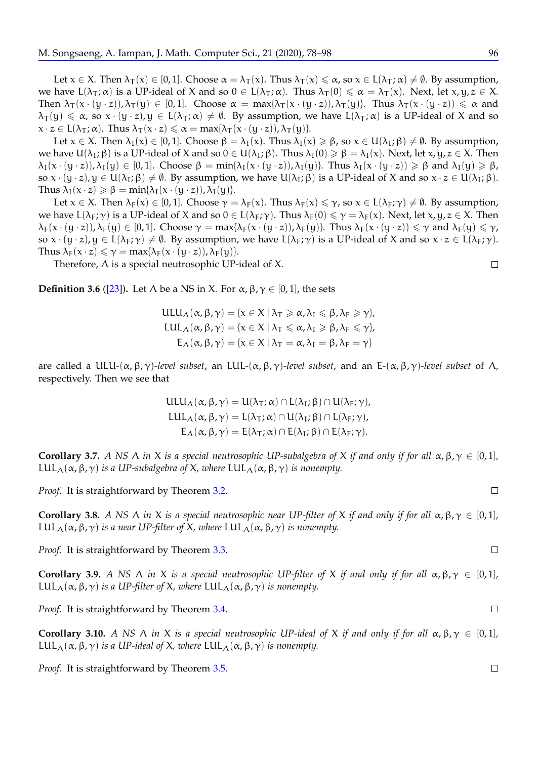Let  $x \in X$ . Then  $\lambda_{\tau}(x) \in [0, 1]$ . Choose  $\alpha = \lambda_{\tau}(x)$ . Thus  $\lambda_{\tau}(x) \leq \alpha$ , so  $x \in L(\lambda_{\tau}; \alpha) \neq \emptyset$ . By assumption, we have  $L(\lambda_T; \alpha)$  is a UP-ideal of X and so  $0 \in L(\lambda_T; \alpha)$ . Thus  $\lambda_T(0) \le \alpha = \lambda_T(x)$ . Next, let  $x, y, z \in X$ . Then  $\lambda_{\text{T}}(x \cdot (y \cdot z))$ ,  $\lambda_{\text{T}}(y) \in [0, 1]$ . Choose  $\alpha = \max{\lambda_{\text{T}}(x \cdot (y \cdot z))}$ ,  $\lambda_{\text{T}}(y)$ . Thus  $\lambda_{\text{T}}(x \cdot (y \cdot z)) \leq \alpha$  and  $\lambda_{\rm T}(y) \le \alpha$ , so  $x \cdot (y \cdot z)$ ,  $y \in L(\lambda_{\rm T}; \alpha) \ne \emptyset$ . By assumption, we have  $L(\lambda_{\rm T}; \alpha)$  is a UP-ideal of X and so  $x \cdot z \in L(\lambda_T; \alpha)$ . Thus  $\lambda_T(x \cdot z) \leq \alpha = \max{\lambda_T(x \cdot (y \cdot z))}, \lambda_T(y)$ .

Let  $x \in X$ . Then  $\lambda_I(x) \in [0, 1]$ . Choose  $\beta = \lambda_I(x)$ . Thus  $\lambda_I(x) \ge \beta$ , so  $x \in U(\lambda_I; \beta) \ne \emptyset$ . By assumption, we have  $U(\lambda_I; \beta)$  is a UP-ideal of X and so  $0 \in U(\lambda_I; \beta)$ . Thus  $\lambda_I(0) \geq \beta = \lambda_I(x)$ . Next, let  $x, y, z \in X$ . Then  $\lambda_I(x \cdot (y \cdot z))$ ,  $\lambda_I(y) \in [0,1]$ . Choose  $\beta = \min{\lbrace \lambda_I(x \cdot (y \cdot z)) \rangle}, \lambda_I(y)$ . Thus  $\lambda_I(x \cdot (y \cdot z)) \geq \beta$  and  $\lambda_I(y) \geq \beta$ , so  $x \cdot (y \cdot z)$ ,  $y \in U(\lambda_I; \beta) \neq \emptyset$ . By assumption, we have  $U(\lambda_I; \beta)$  is a UP-ideal of X and so  $x \cdot z \in U(\lambda_I; \beta)$ . Thus  $\lambda_I(x \cdot z) \geq \beta = \min\{\lambda_I(x \cdot (y \cdot z)), \lambda_I(y)\}.$ 

Let  $x \in X$ . Then  $\lambda_F(x) \in [0, 1]$ . Choose  $\gamma = \lambda_F(x)$ . Thus  $\lambda_F(x) \leq \gamma$ , so  $x \in L(\lambda_F; \gamma) \neq \emptyset$ . By assumption, we have  $L(\lambda_F; \gamma)$  is a UP-ideal of X and so  $0 \in L(\lambda_F; \gamma)$ . Thus  $\lambda_F(0) \leq \gamma = \lambda_F(\chi)$ . Next, let  $x, y, z \in X$ . Then  $\lambda_F(x \cdot (y \cdot z))$ ,  $\lambda_F(y) \in [0, 1]$ . Choose  $\gamma = \max{\lambda_F(x \cdot (y \cdot z))}$ ,  $\lambda_F(y)$ . Thus  $\lambda_F(x \cdot (y \cdot z)) \leq \gamma$  and  $\lambda_F(y) \leq \gamma$ , so  $x \cdot (y \cdot z)$ ,  $y \in L(\lambda_F; \gamma) \neq \emptyset$ . By assumption, we have  $L(\lambda_F; \gamma)$  is a UP-ideal of X and so  $x \cdot z \in L(\lambda_F; \gamma)$ . Thus  $\lambda_F(x \cdot z) \leq \gamma = \max{\lambda_F(x \cdot (y \cdot z))}, \lambda_F(y)$ .

Therefore, Λ is a special neutrosophic UP-ideal of X.

<span id="page-19-0"></span>**Definition 3.6** ([\[23\]](#page-21-9)). Let  $\Lambda$  be a NS in X. For  $\alpha$ ,  $\beta$ ,  $\gamma \in [0,1]$ , the sets

 $ULU_{\Lambda}(\alpha, \beta, \gamma) = \{x \in X \mid \lambda_{\mathsf{T}} \geq \alpha, \lambda_{\mathsf{I}} \leq \beta, \lambda_{\mathsf{F}} \geq \gamma\},\$ LUL<sub>Λ</sub>( $\alpha$ ,  $\beta$ ,  $\gamma$ ) = { $x \in X \mid \lambda_{\text{T}} \leq \alpha$ ,  $\lambda_{\text{I}} \geq \beta$ ,  $\lambda_{\text{F}} \leq \gamma$ },  $E_{\Lambda}(\alpha, \beta, \gamma) = {\chi \in X | \lambda_{\text{T}} = \alpha, \lambda_{\text{I}} = \beta, \lambda_{\text{F}} = \gamma}$ 

are called a ULU*-*(α, β, γ)*-level subset*, an LUL*-*(α, β, γ)*-level subset*, and an E*-*(α, β, γ)*-level subset* of Λ, respectively. Then we see that

$$
ULU_{\Lambda}(\alpha, \beta, \gamma) = U(\lambda_{T}; \alpha) \cap L(\lambda_{I}; \beta) \cap U(\lambda_{F}; \gamma),
$$
  
\n
$$
LUL_{\Lambda}(\alpha, \beta, \gamma) = L(\lambda_{T}; \alpha) \cap U(\lambda_{I}; \beta) \cap L(\lambda_{F}; \gamma),
$$
  
\n
$$
E_{\Lambda}(\alpha, \beta, \gamma) = E(\lambda_{T}; \alpha) \cap E(\lambda_{I}; \beta) \cap E(\lambda_{F}; \gamma).
$$

**Corollary 3.7.** *A NS* Λ *in* X *is a special neutrosophic UP-subalgebra of* X *if and only if for all*  $\alpha, \beta, \gamma \in [0, 1]$ *,* LUL<sub>Λ</sub>( $\alpha$ ,  $\beta$ , $\gamma$ ) *is a UP-subalgebra of X*, *where* LUL<sub>Λ</sub>( $\alpha$ ,  $\beta$ , $\gamma$ ) *is nonempty.* 

*Proof.* It is straightforward by Theorem [3.2.](#page-16-0)

**Corollary 3.8.** *A NS*  $\wedge$  *in* X *is a special neutrosophic near UP-filter of* X *if and only if for all*  $\alpha, \beta, \gamma \in [0, 1]$ *,* LUL<sub>Λ</sub>( $\alpha$ ,  $\beta$ , $\gamma$ ) *is a near UP-filter of X*, *where* LUL<sub>Λ</sub>( $\alpha$ ,  $\beta$ , $\gamma$ ) *is nonempty.* 

*Proof.* It is straightforward by Theorem [3.3.](#page-17-0)

**Corollary 3.9.** *A NS*  $\wedge$  *in*  $X$  *is a special neutrosophic UP-filter of*  $X$  *if and only if for all*  $\alpha, \beta, \gamma \in [0, 1]$ *,* LUL<sub>Λ</sub>( $\alpha$ ,  $\beta$ , $\gamma$ ) *is a UP-filter of X*, *where* LUL<sub>Λ</sub>( $\alpha$ ,  $\beta$ , $\gamma$ ) *is nonempty.* 

*Proof.* It is straightforward by Theorem [3.4.](#page-18-0)

**Corollary 3.10.** *A NS*  $\wedge$  *in*  $X$  *is a special neutrosophic UP-ideal of*  $X$  *if and only if for all*  $\alpha, \beta, \gamma \in [0, 1]$ *,* LUL<sub>Λ</sub>( $\alpha$ ,  $\beta$ , $\gamma$ ) *is a UP-ideal of X*, *where* LUL<sub>Λ</sub>( $\alpha$ ,  $\beta$ , $\gamma$ ) *is nonempty.* 

*Proof.* It is straightforward by Theorem [3.5.](#page-18-1)

 $\Box$ 

 $\Box$ 

 $\Box$ 

 $\Box$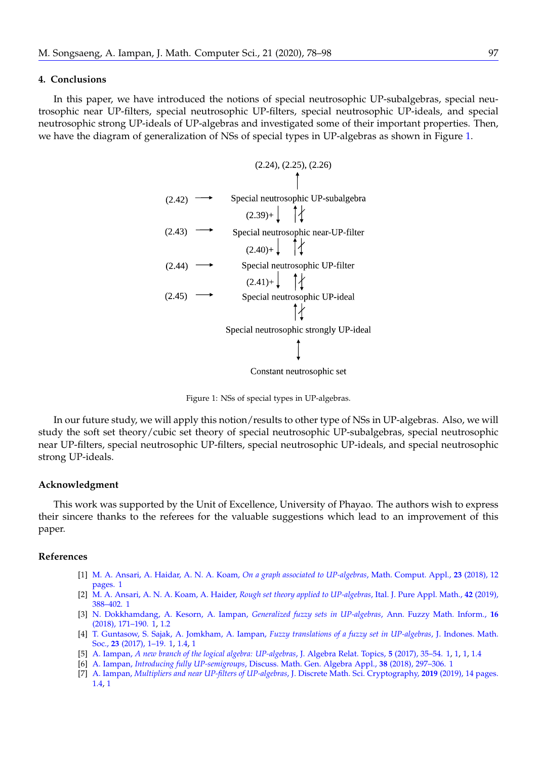#### **4. Conclusions**

In this paper, we have introduced the notions of special neutrosophic UP-subalgebras, special neutrosophic near UP-filters, special neutrosophic UP-filters, special neutrosophic UP-ideals, and special neutrosophic strong UP-ideals of UP-algebras and investigated some of their important properties. Then, we have the diagram of generalization of NSs of special types in UP-algebras as shown in Figure [1.](#page-20-7)

|        | (2.24), (2.25), (2.26)                   |
|--------|------------------------------------------|
|        |                                          |
| (2.42) | Special neutrosophic UP-subalgebra       |
|        | $(2.39) +$ $\uparrow \uparrow$           |
| (2.43) | Special neutrosophic near-UP-filter      |
|        | $(2.40) +$ $\uparrow \uparrow \uparrow$  |
| (2.44) | Special neutrosophic UP-filter           |
|        | $(2.41) + \begin{matrix} 1 \end{matrix}$ |
| (2.45) | Special neutrosophic UP-ideal            |
|        |                                          |
|        | Special neutrosophic strongly UP-ideal   |
|        |                                          |
|        | Constant neutrosophic set                |

<span id="page-20-7"></span>Figure 1: NSs of special types in UP-algebras.

In our future study, we will apply this notion/results to other type of NSs in UP-algebras. Also, we will study the soft set theory/cubic set theory of special neutrosophic UP-subalgebras, special neutrosophic near UP-filters, special neutrosophic UP-filters, special neutrosophic UP-ideals, and special neutrosophic strong UP-ideals.

#### **Acknowledgment**

This work was supported by the Unit of Excellence, University of Phayao. The authors wish to express their sincere thanks to the referees for the valuable suggestions which lead to an improvement of this paper.

#### **References**

- <span id="page-20-3"></span>[1] [M. A. Ansari, A. Haidar, A. N. A. Koam,](https://doi.org/10.3390/mca24040086) *On a graph associated to UP-algebras*, Math. Comput. Appl., **23** (2018), 12 [pages.](https://doi.org/10.3390/mca24040086) [1](#page-3-1)
- <span id="page-20-4"></span>[2] [M. A. Ansari, A. N. A. Koam, A. Haider,](http://ijpam.uniud.it/online_issue/201942/33%20Ansari-Koam-Haidar.pdf) *Rough set theory applied to UP-algebras*, Ital. J. Pure Appl. Math., **42** (2019), [388–402.](http://ijpam.uniud.it/online_issue/201942/33%20Ansari-Koam-Haidar.pdf) [1](#page-3-1)
- <span id="page-20-2"></span>[3] [N. Dokkhamdang, A. Kesorn, A. Iampan,](https://doi.org/10.30948/afmi.2018.16.2.171) *Generalized fuzzy sets in UP-algebras*, Ann. Fuzzy Math. Inform., **16** [\(2018\), 171–190.](https://doi.org/10.30948/afmi.2018.16.2.171) [1,](#page-1-0) [1.2](#page-2-0)
- <span id="page-20-1"></span>[4] [T. Guntasow, S. Sajak, A. Jomkham, A. Iampan,](https://www.jims-a.org/index.php/jimsa/article/view/371) *Fuzzy translations of a fuzzy set in UP-algebras*, J. Indones. Math. Soc., **23** [\(2017\), 1–19.](https://www.jims-a.org/index.php/jimsa/article/view/371) [1,](#page-1-0) [1.4,](#page-3-2) [1](#page-4-4)
- <span id="page-20-0"></span>[5] A. Iampan, *[A new branch of the logical algebra: UP-algebras](http://dx.doi.org/10.22124/jart.2017.2403)*, J. Algebra Relat. Topics, **5** (2017), 35–54. [1,](#page-1-0) [1,](#page-3-1) [1,](#page-3-3) [1.4](#page-3-2)
- <span id="page-20-5"></span>[6] A. Iampan, *Introducing fully UP-semigroups*[, Discuss. Math. Gen. Algebra Appl.,](https://doi.org/10.7151/dmgaa.1290) **38** (2018), 297–306. [1](#page-3-1)
- <span id="page-20-6"></span>[7] A. Iampan, *[Multipliers and near UP-filters of UP-algebras](https://doi.org/10.1080/09720529.2019.1649027)*, J. Discrete Math. Sci. Cryptography, **2019** (2019), 14 pages. [1.4,](#page-3-2) [1](#page-4-4)